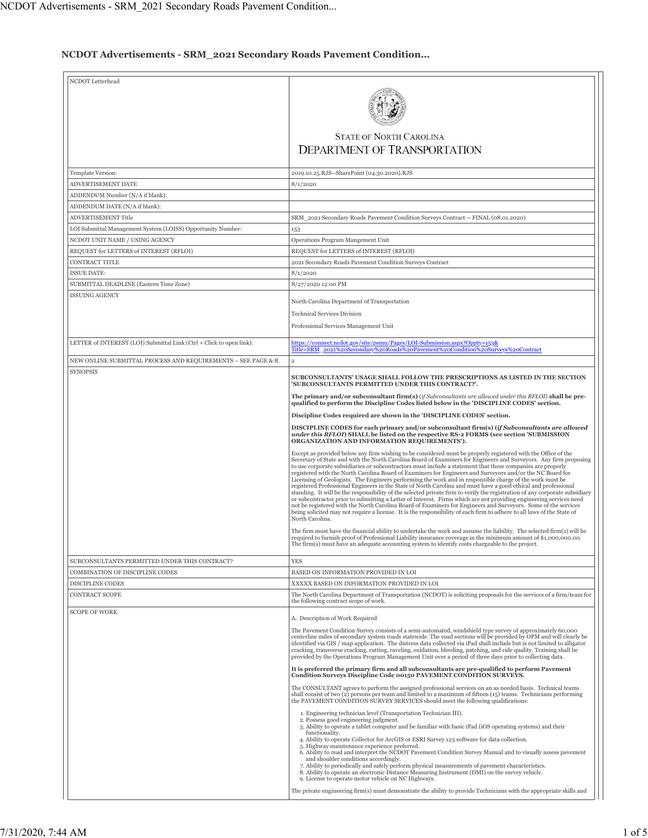## **NCDOT Advertisements - SRM\_2021 Secondary Roads Pavement Condition...**

| <b>STATE OF NORTH CAROLINA</b><br><b>DEPARTMENT OF TRANSPORTATION</b><br>Template Version:<br>2019.10.25.RJS--SharePoint (04.30.2020).RJS<br>ADVERTISEMENT DATE<br>8/1/2020<br>ADDENDUM Number (N/A if blank):<br>ADDENDUM DATE (N/A if blank):<br>ADVERTISEMENT Title<br>SRM_2021 Secondary Roads Pavement Condition Surveys Contract -- FINAL (08.01.2020)<br>LOI Submittal Management System (LOISS) Opportunity Number:<br>153<br>NCDOT UNIT NAME / USING AGENCY<br>Operations Program Mangement Unit<br>REQUEST for LETTERS of INTEREST (RFLOI)<br>REQUEST for LETTERS of INTEREST (RFLOI)<br>CONTRACT TITLE<br>2021 Secondary Roads Pavement Condition Surveys Contract<br><b>ISSUE DATE:</b><br>8/1/2020<br>SUBMITTAL DEADLINE (Eastern Time Zone)<br>8/27/2020 12:00 PM<br>ISSUING AGENCY<br>North Carolina Department of Transportation<br><b>Technical Services Division</b><br>Professional Services Management Unit<br>LETTER of INTEREST (LOI) Submittal Link (Ctrl + Click to open link):<br>https://connect.ncdot.gov/site/psmu/Pages/LOI-Submission.aspx?Oppty=153&<br>Title=SRM_2021%20Secondary%20Roads%20Pavement%20Condition%20Surveys%20Contract<br>NEW ONLINE SUBMITTAL PROCESS AND REQUIREMENTS - SEE PAGE & ff.<br>$\overline{2}$<br><b>SYNOPSIS</b><br>SUBCONSULTANTS' USAGE SHALL FOLLOW THE PRESCRIPTIONS AS LISTED IN THE SECTION<br>'SUBCONSULTANTS PERMITTED UNDER THIS CONTRACT?'.<br>The primary and/or subconsultant firm(s) (if Subconsultants are allowed under this RFLOI) shall be pre-<br>qualified to perform the Discipline Codes listed below in the 'DISCIPLINE CODES' section.<br>Discipline Codes required are shown in the 'DISCIPLINE CODES' section.<br>DISCIPLINE CODES for each primary and/or subconsultant firm(s) (if Subconsultants are allowed<br>under this RFLOI) SHALL be listed on the respective RS-2 FORMS (see section 'SUBMISSION<br>ORGANIZATION AND INFORMATION REQUIREMENTS').<br>Except as provided below any firm wishing to be considered must be properly registered with the Office of the<br>Secretary of State and with the North Carolina Board of Examiners for Engineers and Surveyors. Any firm proposing<br>to use corporate subsidiaries or subcontractors must include a statement that these companies are properly<br>registered with the North Carolina Board of Examiners for Engineers and Surveyors and/or the NC Board for<br>Licensing of Geologists. The Engineers performing the work and in responsible charge of the work must be<br>registered Professional Engineers in the State of North Carolina and must have a good ethical and professional<br>standing. It will be the responsibility of the selected private firm to verify the registration of any corporate subsidiary<br>or subcontractor prior to submitting a Letter of Interest. Firms which are not providing engineering services need<br>not be registered with the North Carolina Board of Examiners for Engineers and Surveyors. Some of the services<br>being solicited may not require a license. It is the responsibility of each firm to adhere to all laws of the State of<br>North Carolina.<br>The firm must have the financial ability to undertake the work and assume the liability. The selected firm(s) will be<br>required to furnish proof of Professional Liability insurance coverage in the minimum amount of \$1,000,000.00.<br>The firm(s) must have an adequate accounting system to identify costs chargeable to the project<br><b>YES</b><br>SUBCONSULTANTS PERMITTED UNDER THIS CONTRACT?<br>COMBINATION OF DISCIPLINE CODES<br>BASED ON INFORMATION PROVIDED IN LOI<br><b>DISCIPLINE CODES</b><br>XXXXX BASED ON INFORMATION PROVIDED IN LOI<br>CONTRACT SCOPE<br>The North Carolina Department of Transportation (NCDOT) is soliciting proposals for the services of a firm/team for<br>the following contract scope of work.<br><b>SCOPE OF WORK</b><br>A. Description of Work Required<br>The Pavement Condition Survey consists of a semi-automated, windshield type survey of approximately 60,000<br>centerline miles of secondary system roads statewide. The road sections will be provided by OPM and will clearly be<br>identified via GIS / map application. The distress data collected via iPad shall include but is not limited to alligator<br>cracking, transverse cracking, rutting, raveling, oxidation, bleeding, patching, and ride quality. Training shall be<br>provided by the Operations Program Management Unit over a period of three days prior to collecting data.<br>It is preferred the primary firm and all subconsultants are pre-qualified to perform Pavement<br><b>Condition Surveys Discipline Code 00150 PAVEMENT CONDITION SURVEYS.</b><br>The CONSULTANT agrees to perform the assigned professional services on an as needed basis. Technical teams<br>shall consist of two $(2)$ persons per team and limited to a maximum of fifteen $(15)$ teams. Technicians performing<br>the PAVEMENT CONDITION SURVEY SERVICES should meet the following qualifications:<br>1. Engineering technician level (Transportation Technician III).<br>2. Possess good engineering judgment.<br>3. Ability to operate a tablet computer and be familiar with basic iPad (iOS operating systems) and their<br>functionality.<br>4. Ability to operate Collector for ArcGIS or ESRI Survey 123 software for data collection.<br>5. Highway maintenance experience preferred.<br>6. Ability to read and interpret the NCDOT Pavement Condition Survey Manual and to visually assess pavement<br>and shoulder conditions accordingly.<br>7. Ability to periodically and safely perform physical measurements of pavement characteristics.<br>8. Ability to operate an electronic Distance Measuring Instrument (DMI) on the survey vehicle.<br>9. License to operate motor vehicle on NC Highways. |                  |                                                                                                                     |
|----------------------------------------------------------------------------------------------------------------------------------------------------------------------------------------------------------------------------------------------------------------------------------------------------------------------------------------------------------------------------------------------------------------------------------------------------------------------------------------------------------------------------------------------------------------------------------------------------------------------------------------------------------------------------------------------------------------------------------------------------------------------------------------------------------------------------------------------------------------------------------------------------------------------------------------------------------------------------------------------------------------------------------------------------------------------------------------------------------------------------------------------------------------------------------------------------------------------------------------------------------------------------------------------------------------------------------------------------------------------------------------------------------------------------------------------------------------------------------------------------------------------------------------------------------------------------------------------------------------------------------------------------------------------------------------------------------------------------------------------------------------------------------------------------------------------------------------------------------------------------------------------------------------------------------------------------------------------------------------------------------------------------------------------------------------------------------------------------------------------------------------------------------------------------------------------------------------------------------------------------------------------------------------------------------------------------------------------------------------------------------------------------------------------------------------------------------------------------------------------------------------------------------------------------------------------------------------------------------------------------------------------------------------------------------------------------------------------------------------------------------------------------------------------------------------------------------------------------------------------------------------------------------------------------------------------------------------------------------------------------------------------------------------------------------------------------------------------------------------------------------------------------------------------------------------------------------------------------------------------------------------------------------------------------------------------------------------------------------------------------------------------------------------------------------------------------------------------------------------------------------------------------------------------------------------------------------------------------------------------------------------------------------------------------------------------------------------------------------------------------------------------------------------------------------------------------------------------------------------------------------------------------------------------------------------------------------------------------------------------------------------------------------------------------------------------------------------------------------------------------------------------------------------------------------------------------------------------------------------------------------------------------------------------------------------------------------------------------------------------------------------------------------------------------------------------------------------------------------------------------------------------------------------------------------------------------------------------------------------------------------------------------------------------------------------------------------------------------------------------------------------------------------------------------------------------------------------------------------------------------------------------------------------------------------------------------------------------------------------------------------------------------------------------------------------------------------------------------------------------------------------------------------------------------------------------------------------------------------------------------------------------------------------------------------------------------------------------------------------------------------------------------------------------------------------------------------------------------------------------------------------------------------------------------------------------------------------------------------------------------------------------------------------------------------------------------------------------------------------------------------------------------------------------------------------------------------------------------------------------------------------------------------------|------------------|---------------------------------------------------------------------------------------------------------------------|
|                                                                                                                                                                                                                                                                                                                                                                                                                                                                                                                                                                                                                                                                                                                                                                                                                                                                                                                                                                                                                                                                                                                                                                                                                                                                                                                                                                                                                                                                                                                                                                                                                                                                                                                                                                                                                                                                                                                                                                                                                                                                                                                                                                                                                                                                                                                                                                                                                                                                                                                                                                                                                                                                                                                                                                                                                                                                                                                                                                                                                                                                                                                                                                                                                                                                                                                                                                                                                                                                                                                                                                                                                                                                                                                                                                                                                                                                                                                                                                                                                                                                                                                                                                                                                                                                                                                                                                                                                                                                                                                                                                                                                                                                                                                                                                                                                                                                                                                                                                                                                                                                                                                                                                                                                                                                                                                                                                                                                                                                                                                                                                                                                                                                                                                                                                                                                                                                                                                | NCDOT Letterhead |                                                                                                                     |
|                                                                                                                                                                                                                                                                                                                                                                                                                                                                                                                                                                                                                                                                                                                                                                                                                                                                                                                                                                                                                                                                                                                                                                                                                                                                                                                                                                                                                                                                                                                                                                                                                                                                                                                                                                                                                                                                                                                                                                                                                                                                                                                                                                                                                                                                                                                                                                                                                                                                                                                                                                                                                                                                                                                                                                                                                                                                                                                                                                                                                                                                                                                                                                                                                                                                                                                                                                                                                                                                                                                                                                                                                                                                                                                                                                                                                                                                                                                                                                                                                                                                                                                                                                                                                                                                                                                                                                                                                                                                                                                                                                                                                                                                                                                                                                                                                                                                                                                                                                                                                                                                                                                                                                                                                                                                                                                                                                                                                                                                                                                                                                                                                                                                                                                                                                                                                                                                                                                |                  |                                                                                                                     |
|                                                                                                                                                                                                                                                                                                                                                                                                                                                                                                                                                                                                                                                                                                                                                                                                                                                                                                                                                                                                                                                                                                                                                                                                                                                                                                                                                                                                                                                                                                                                                                                                                                                                                                                                                                                                                                                                                                                                                                                                                                                                                                                                                                                                                                                                                                                                                                                                                                                                                                                                                                                                                                                                                                                                                                                                                                                                                                                                                                                                                                                                                                                                                                                                                                                                                                                                                                                                                                                                                                                                                                                                                                                                                                                                                                                                                                                                                                                                                                                                                                                                                                                                                                                                                                                                                                                                                                                                                                                                                                                                                                                                                                                                                                                                                                                                                                                                                                                                                                                                                                                                                                                                                                                                                                                                                                                                                                                                                                                                                                                                                                                                                                                                                                                                                                                                                                                                                                                |                  |                                                                                                                     |
|                                                                                                                                                                                                                                                                                                                                                                                                                                                                                                                                                                                                                                                                                                                                                                                                                                                                                                                                                                                                                                                                                                                                                                                                                                                                                                                                                                                                                                                                                                                                                                                                                                                                                                                                                                                                                                                                                                                                                                                                                                                                                                                                                                                                                                                                                                                                                                                                                                                                                                                                                                                                                                                                                                                                                                                                                                                                                                                                                                                                                                                                                                                                                                                                                                                                                                                                                                                                                                                                                                                                                                                                                                                                                                                                                                                                                                                                                                                                                                                                                                                                                                                                                                                                                                                                                                                                                                                                                                                                                                                                                                                                                                                                                                                                                                                                                                                                                                                                                                                                                                                                                                                                                                                                                                                                                                                                                                                                                                                                                                                                                                                                                                                                                                                                                                                                                                                                                                                |                  |                                                                                                                     |
|                                                                                                                                                                                                                                                                                                                                                                                                                                                                                                                                                                                                                                                                                                                                                                                                                                                                                                                                                                                                                                                                                                                                                                                                                                                                                                                                                                                                                                                                                                                                                                                                                                                                                                                                                                                                                                                                                                                                                                                                                                                                                                                                                                                                                                                                                                                                                                                                                                                                                                                                                                                                                                                                                                                                                                                                                                                                                                                                                                                                                                                                                                                                                                                                                                                                                                                                                                                                                                                                                                                                                                                                                                                                                                                                                                                                                                                                                                                                                                                                                                                                                                                                                                                                                                                                                                                                                                                                                                                                                                                                                                                                                                                                                                                                                                                                                                                                                                                                                                                                                                                                                                                                                                                                                                                                                                                                                                                                                                                                                                                                                                                                                                                                                                                                                                                                                                                                                                                |                  |                                                                                                                     |
|                                                                                                                                                                                                                                                                                                                                                                                                                                                                                                                                                                                                                                                                                                                                                                                                                                                                                                                                                                                                                                                                                                                                                                                                                                                                                                                                                                                                                                                                                                                                                                                                                                                                                                                                                                                                                                                                                                                                                                                                                                                                                                                                                                                                                                                                                                                                                                                                                                                                                                                                                                                                                                                                                                                                                                                                                                                                                                                                                                                                                                                                                                                                                                                                                                                                                                                                                                                                                                                                                                                                                                                                                                                                                                                                                                                                                                                                                                                                                                                                                                                                                                                                                                                                                                                                                                                                                                                                                                                                                                                                                                                                                                                                                                                                                                                                                                                                                                                                                                                                                                                                                                                                                                                                                                                                                                                                                                                                                                                                                                                                                                                                                                                                                                                                                                                                                                                                                                                |                  |                                                                                                                     |
|                                                                                                                                                                                                                                                                                                                                                                                                                                                                                                                                                                                                                                                                                                                                                                                                                                                                                                                                                                                                                                                                                                                                                                                                                                                                                                                                                                                                                                                                                                                                                                                                                                                                                                                                                                                                                                                                                                                                                                                                                                                                                                                                                                                                                                                                                                                                                                                                                                                                                                                                                                                                                                                                                                                                                                                                                                                                                                                                                                                                                                                                                                                                                                                                                                                                                                                                                                                                                                                                                                                                                                                                                                                                                                                                                                                                                                                                                                                                                                                                                                                                                                                                                                                                                                                                                                                                                                                                                                                                                                                                                                                                                                                                                                                                                                                                                                                                                                                                                                                                                                                                                                                                                                                                                                                                                                                                                                                                                                                                                                                                                                                                                                                                                                                                                                                                                                                                                                                |                  |                                                                                                                     |
|                                                                                                                                                                                                                                                                                                                                                                                                                                                                                                                                                                                                                                                                                                                                                                                                                                                                                                                                                                                                                                                                                                                                                                                                                                                                                                                                                                                                                                                                                                                                                                                                                                                                                                                                                                                                                                                                                                                                                                                                                                                                                                                                                                                                                                                                                                                                                                                                                                                                                                                                                                                                                                                                                                                                                                                                                                                                                                                                                                                                                                                                                                                                                                                                                                                                                                                                                                                                                                                                                                                                                                                                                                                                                                                                                                                                                                                                                                                                                                                                                                                                                                                                                                                                                                                                                                                                                                                                                                                                                                                                                                                                                                                                                                                                                                                                                                                                                                                                                                                                                                                                                                                                                                                                                                                                                                                                                                                                                                                                                                                                                                                                                                                                                                                                                                                                                                                                                                                |                  |                                                                                                                     |
|                                                                                                                                                                                                                                                                                                                                                                                                                                                                                                                                                                                                                                                                                                                                                                                                                                                                                                                                                                                                                                                                                                                                                                                                                                                                                                                                                                                                                                                                                                                                                                                                                                                                                                                                                                                                                                                                                                                                                                                                                                                                                                                                                                                                                                                                                                                                                                                                                                                                                                                                                                                                                                                                                                                                                                                                                                                                                                                                                                                                                                                                                                                                                                                                                                                                                                                                                                                                                                                                                                                                                                                                                                                                                                                                                                                                                                                                                                                                                                                                                                                                                                                                                                                                                                                                                                                                                                                                                                                                                                                                                                                                                                                                                                                                                                                                                                                                                                                                                                                                                                                                                                                                                                                                                                                                                                                                                                                                                                                                                                                                                                                                                                                                                                                                                                                                                                                                                                                |                  |                                                                                                                     |
|                                                                                                                                                                                                                                                                                                                                                                                                                                                                                                                                                                                                                                                                                                                                                                                                                                                                                                                                                                                                                                                                                                                                                                                                                                                                                                                                                                                                                                                                                                                                                                                                                                                                                                                                                                                                                                                                                                                                                                                                                                                                                                                                                                                                                                                                                                                                                                                                                                                                                                                                                                                                                                                                                                                                                                                                                                                                                                                                                                                                                                                                                                                                                                                                                                                                                                                                                                                                                                                                                                                                                                                                                                                                                                                                                                                                                                                                                                                                                                                                                                                                                                                                                                                                                                                                                                                                                                                                                                                                                                                                                                                                                                                                                                                                                                                                                                                                                                                                                                                                                                                                                                                                                                                                                                                                                                                                                                                                                                                                                                                                                                                                                                                                                                                                                                                                                                                                                                                |                  |                                                                                                                     |
|                                                                                                                                                                                                                                                                                                                                                                                                                                                                                                                                                                                                                                                                                                                                                                                                                                                                                                                                                                                                                                                                                                                                                                                                                                                                                                                                                                                                                                                                                                                                                                                                                                                                                                                                                                                                                                                                                                                                                                                                                                                                                                                                                                                                                                                                                                                                                                                                                                                                                                                                                                                                                                                                                                                                                                                                                                                                                                                                                                                                                                                                                                                                                                                                                                                                                                                                                                                                                                                                                                                                                                                                                                                                                                                                                                                                                                                                                                                                                                                                                                                                                                                                                                                                                                                                                                                                                                                                                                                                                                                                                                                                                                                                                                                                                                                                                                                                                                                                                                                                                                                                                                                                                                                                                                                                                                                                                                                                                                                                                                                                                                                                                                                                                                                                                                                                                                                                                                                |                  |                                                                                                                     |
|                                                                                                                                                                                                                                                                                                                                                                                                                                                                                                                                                                                                                                                                                                                                                                                                                                                                                                                                                                                                                                                                                                                                                                                                                                                                                                                                                                                                                                                                                                                                                                                                                                                                                                                                                                                                                                                                                                                                                                                                                                                                                                                                                                                                                                                                                                                                                                                                                                                                                                                                                                                                                                                                                                                                                                                                                                                                                                                                                                                                                                                                                                                                                                                                                                                                                                                                                                                                                                                                                                                                                                                                                                                                                                                                                                                                                                                                                                                                                                                                                                                                                                                                                                                                                                                                                                                                                                                                                                                                                                                                                                                                                                                                                                                                                                                                                                                                                                                                                                                                                                                                                                                                                                                                                                                                                                                                                                                                                                                                                                                                                                                                                                                                                                                                                                                                                                                                                                                |                  |                                                                                                                     |
|                                                                                                                                                                                                                                                                                                                                                                                                                                                                                                                                                                                                                                                                                                                                                                                                                                                                                                                                                                                                                                                                                                                                                                                                                                                                                                                                                                                                                                                                                                                                                                                                                                                                                                                                                                                                                                                                                                                                                                                                                                                                                                                                                                                                                                                                                                                                                                                                                                                                                                                                                                                                                                                                                                                                                                                                                                                                                                                                                                                                                                                                                                                                                                                                                                                                                                                                                                                                                                                                                                                                                                                                                                                                                                                                                                                                                                                                                                                                                                                                                                                                                                                                                                                                                                                                                                                                                                                                                                                                                                                                                                                                                                                                                                                                                                                                                                                                                                                                                                                                                                                                                                                                                                                                                                                                                                                                                                                                                                                                                                                                                                                                                                                                                                                                                                                                                                                                                                                |                  |                                                                                                                     |
|                                                                                                                                                                                                                                                                                                                                                                                                                                                                                                                                                                                                                                                                                                                                                                                                                                                                                                                                                                                                                                                                                                                                                                                                                                                                                                                                                                                                                                                                                                                                                                                                                                                                                                                                                                                                                                                                                                                                                                                                                                                                                                                                                                                                                                                                                                                                                                                                                                                                                                                                                                                                                                                                                                                                                                                                                                                                                                                                                                                                                                                                                                                                                                                                                                                                                                                                                                                                                                                                                                                                                                                                                                                                                                                                                                                                                                                                                                                                                                                                                                                                                                                                                                                                                                                                                                                                                                                                                                                                                                                                                                                                                                                                                                                                                                                                                                                                                                                                                                                                                                                                                                                                                                                                                                                                                                                                                                                                                                                                                                                                                                                                                                                                                                                                                                                                                                                                                                                |                  |                                                                                                                     |
|                                                                                                                                                                                                                                                                                                                                                                                                                                                                                                                                                                                                                                                                                                                                                                                                                                                                                                                                                                                                                                                                                                                                                                                                                                                                                                                                                                                                                                                                                                                                                                                                                                                                                                                                                                                                                                                                                                                                                                                                                                                                                                                                                                                                                                                                                                                                                                                                                                                                                                                                                                                                                                                                                                                                                                                                                                                                                                                                                                                                                                                                                                                                                                                                                                                                                                                                                                                                                                                                                                                                                                                                                                                                                                                                                                                                                                                                                                                                                                                                                                                                                                                                                                                                                                                                                                                                                                                                                                                                                                                                                                                                                                                                                                                                                                                                                                                                                                                                                                                                                                                                                                                                                                                                                                                                                                                                                                                                                                                                                                                                                                                                                                                                                                                                                                                                                                                                                                                |                  |                                                                                                                     |
|                                                                                                                                                                                                                                                                                                                                                                                                                                                                                                                                                                                                                                                                                                                                                                                                                                                                                                                                                                                                                                                                                                                                                                                                                                                                                                                                                                                                                                                                                                                                                                                                                                                                                                                                                                                                                                                                                                                                                                                                                                                                                                                                                                                                                                                                                                                                                                                                                                                                                                                                                                                                                                                                                                                                                                                                                                                                                                                                                                                                                                                                                                                                                                                                                                                                                                                                                                                                                                                                                                                                                                                                                                                                                                                                                                                                                                                                                                                                                                                                                                                                                                                                                                                                                                                                                                                                                                                                                                                                                                                                                                                                                                                                                                                                                                                                                                                                                                                                                                                                                                                                                                                                                                                                                                                                                                                                                                                                                                                                                                                                                                                                                                                                                                                                                                                                                                                                                                                |                  |                                                                                                                     |
|                                                                                                                                                                                                                                                                                                                                                                                                                                                                                                                                                                                                                                                                                                                                                                                                                                                                                                                                                                                                                                                                                                                                                                                                                                                                                                                                                                                                                                                                                                                                                                                                                                                                                                                                                                                                                                                                                                                                                                                                                                                                                                                                                                                                                                                                                                                                                                                                                                                                                                                                                                                                                                                                                                                                                                                                                                                                                                                                                                                                                                                                                                                                                                                                                                                                                                                                                                                                                                                                                                                                                                                                                                                                                                                                                                                                                                                                                                                                                                                                                                                                                                                                                                                                                                                                                                                                                                                                                                                                                                                                                                                                                                                                                                                                                                                                                                                                                                                                                                                                                                                                                                                                                                                                                                                                                                                                                                                                                                                                                                                                                                                                                                                                                                                                                                                                                                                                                                                |                  |                                                                                                                     |
|                                                                                                                                                                                                                                                                                                                                                                                                                                                                                                                                                                                                                                                                                                                                                                                                                                                                                                                                                                                                                                                                                                                                                                                                                                                                                                                                                                                                                                                                                                                                                                                                                                                                                                                                                                                                                                                                                                                                                                                                                                                                                                                                                                                                                                                                                                                                                                                                                                                                                                                                                                                                                                                                                                                                                                                                                                                                                                                                                                                                                                                                                                                                                                                                                                                                                                                                                                                                                                                                                                                                                                                                                                                                                                                                                                                                                                                                                                                                                                                                                                                                                                                                                                                                                                                                                                                                                                                                                                                                                                                                                                                                                                                                                                                                                                                                                                                                                                                                                                                                                                                                                                                                                                                                                                                                                                                                                                                                                                                                                                                                                                                                                                                                                                                                                                                                                                                                                                                |                  |                                                                                                                     |
|                                                                                                                                                                                                                                                                                                                                                                                                                                                                                                                                                                                                                                                                                                                                                                                                                                                                                                                                                                                                                                                                                                                                                                                                                                                                                                                                                                                                                                                                                                                                                                                                                                                                                                                                                                                                                                                                                                                                                                                                                                                                                                                                                                                                                                                                                                                                                                                                                                                                                                                                                                                                                                                                                                                                                                                                                                                                                                                                                                                                                                                                                                                                                                                                                                                                                                                                                                                                                                                                                                                                                                                                                                                                                                                                                                                                                                                                                                                                                                                                                                                                                                                                                                                                                                                                                                                                                                                                                                                                                                                                                                                                                                                                                                                                                                                                                                                                                                                                                                                                                                                                                                                                                                                                                                                                                                                                                                                                                                                                                                                                                                                                                                                                                                                                                                                                                                                                                                                |                  |                                                                                                                     |
|                                                                                                                                                                                                                                                                                                                                                                                                                                                                                                                                                                                                                                                                                                                                                                                                                                                                                                                                                                                                                                                                                                                                                                                                                                                                                                                                                                                                                                                                                                                                                                                                                                                                                                                                                                                                                                                                                                                                                                                                                                                                                                                                                                                                                                                                                                                                                                                                                                                                                                                                                                                                                                                                                                                                                                                                                                                                                                                                                                                                                                                                                                                                                                                                                                                                                                                                                                                                                                                                                                                                                                                                                                                                                                                                                                                                                                                                                                                                                                                                                                                                                                                                                                                                                                                                                                                                                                                                                                                                                                                                                                                                                                                                                                                                                                                                                                                                                                                                                                                                                                                                                                                                                                                                                                                                                                                                                                                                                                                                                                                                                                                                                                                                                                                                                                                                                                                                                                                |                  |                                                                                                                     |
|                                                                                                                                                                                                                                                                                                                                                                                                                                                                                                                                                                                                                                                                                                                                                                                                                                                                                                                                                                                                                                                                                                                                                                                                                                                                                                                                                                                                                                                                                                                                                                                                                                                                                                                                                                                                                                                                                                                                                                                                                                                                                                                                                                                                                                                                                                                                                                                                                                                                                                                                                                                                                                                                                                                                                                                                                                                                                                                                                                                                                                                                                                                                                                                                                                                                                                                                                                                                                                                                                                                                                                                                                                                                                                                                                                                                                                                                                                                                                                                                                                                                                                                                                                                                                                                                                                                                                                                                                                                                                                                                                                                                                                                                                                                                                                                                                                                                                                                                                                                                                                                                                                                                                                                                                                                                                                                                                                                                                                                                                                                                                                                                                                                                                                                                                                                                                                                                                                                |                  |                                                                                                                     |
|                                                                                                                                                                                                                                                                                                                                                                                                                                                                                                                                                                                                                                                                                                                                                                                                                                                                                                                                                                                                                                                                                                                                                                                                                                                                                                                                                                                                                                                                                                                                                                                                                                                                                                                                                                                                                                                                                                                                                                                                                                                                                                                                                                                                                                                                                                                                                                                                                                                                                                                                                                                                                                                                                                                                                                                                                                                                                                                                                                                                                                                                                                                                                                                                                                                                                                                                                                                                                                                                                                                                                                                                                                                                                                                                                                                                                                                                                                                                                                                                                                                                                                                                                                                                                                                                                                                                                                                                                                                                                                                                                                                                                                                                                                                                                                                                                                                                                                                                                                                                                                                                                                                                                                                                                                                                                                                                                                                                                                                                                                                                                                                                                                                                                                                                                                                                                                                                                                                |                  |                                                                                                                     |
|                                                                                                                                                                                                                                                                                                                                                                                                                                                                                                                                                                                                                                                                                                                                                                                                                                                                                                                                                                                                                                                                                                                                                                                                                                                                                                                                                                                                                                                                                                                                                                                                                                                                                                                                                                                                                                                                                                                                                                                                                                                                                                                                                                                                                                                                                                                                                                                                                                                                                                                                                                                                                                                                                                                                                                                                                                                                                                                                                                                                                                                                                                                                                                                                                                                                                                                                                                                                                                                                                                                                                                                                                                                                                                                                                                                                                                                                                                                                                                                                                                                                                                                                                                                                                                                                                                                                                                                                                                                                                                                                                                                                                                                                                                                                                                                                                                                                                                                                                                                                                                                                                                                                                                                                                                                                                                                                                                                                                                                                                                                                                                                                                                                                                                                                                                                                                                                                                                                |                  |                                                                                                                     |
|                                                                                                                                                                                                                                                                                                                                                                                                                                                                                                                                                                                                                                                                                                                                                                                                                                                                                                                                                                                                                                                                                                                                                                                                                                                                                                                                                                                                                                                                                                                                                                                                                                                                                                                                                                                                                                                                                                                                                                                                                                                                                                                                                                                                                                                                                                                                                                                                                                                                                                                                                                                                                                                                                                                                                                                                                                                                                                                                                                                                                                                                                                                                                                                                                                                                                                                                                                                                                                                                                                                                                                                                                                                                                                                                                                                                                                                                                                                                                                                                                                                                                                                                                                                                                                                                                                                                                                                                                                                                                                                                                                                                                                                                                                                                                                                                                                                                                                                                                                                                                                                                                                                                                                                                                                                                                                                                                                                                                                                                                                                                                                                                                                                                                                                                                                                                                                                                                                                |                  |                                                                                                                     |
|                                                                                                                                                                                                                                                                                                                                                                                                                                                                                                                                                                                                                                                                                                                                                                                                                                                                                                                                                                                                                                                                                                                                                                                                                                                                                                                                                                                                                                                                                                                                                                                                                                                                                                                                                                                                                                                                                                                                                                                                                                                                                                                                                                                                                                                                                                                                                                                                                                                                                                                                                                                                                                                                                                                                                                                                                                                                                                                                                                                                                                                                                                                                                                                                                                                                                                                                                                                                                                                                                                                                                                                                                                                                                                                                                                                                                                                                                                                                                                                                                                                                                                                                                                                                                                                                                                                                                                                                                                                                                                                                                                                                                                                                                                                                                                                                                                                                                                                                                                                                                                                                                                                                                                                                                                                                                                                                                                                                                                                                                                                                                                                                                                                                                                                                                                                                                                                                                                                |                  |                                                                                                                     |
|                                                                                                                                                                                                                                                                                                                                                                                                                                                                                                                                                                                                                                                                                                                                                                                                                                                                                                                                                                                                                                                                                                                                                                                                                                                                                                                                                                                                                                                                                                                                                                                                                                                                                                                                                                                                                                                                                                                                                                                                                                                                                                                                                                                                                                                                                                                                                                                                                                                                                                                                                                                                                                                                                                                                                                                                                                                                                                                                                                                                                                                                                                                                                                                                                                                                                                                                                                                                                                                                                                                                                                                                                                                                                                                                                                                                                                                                                                                                                                                                                                                                                                                                                                                                                                                                                                                                                                                                                                                                                                                                                                                                                                                                                                                                                                                                                                                                                                                                                                                                                                                                                                                                                                                                                                                                                                                                                                                                                                                                                                                                                                                                                                                                                                                                                                                                                                                                                                                |                  |                                                                                                                     |
|                                                                                                                                                                                                                                                                                                                                                                                                                                                                                                                                                                                                                                                                                                                                                                                                                                                                                                                                                                                                                                                                                                                                                                                                                                                                                                                                                                                                                                                                                                                                                                                                                                                                                                                                                                                                                                                                                                                                                                                                                                                                                                                                                                                                                                                                                                                                                                                                                                                                                                                                                                                                                                                                                                                                                                                                                                                                                                                                                                                                                                                                                                                                                                                                                                                                                                                                                                                                                                                                                                                                                                                                                                                                                                                                                                                                                                                                                                                                                                                                                                                                                                                                                                                                                                                                                                                                                                                                                                                                                                                                                                                                                                                                                                                                                                                                                                                                                                                                                                                                                                                                                                                                                                                                                                                                                                                                                                                                                                                                                                                                                                                                                                                                                                                                                                                                                                                                                                                |                  |                                                                                                                     |
|                                                                                                                                                                                                                                                                                                                                                                                                                                                                                                                                                                                                                                                                                                                                                                                                                                                                                                                                                                                                                                                                                                                                                                                                                                                                                                                                                                                                                                                                                                                                                                                                                                                                                                                                                                                                                                                                                                                                                                                                                                                                                                                                                                                                                                                                                                                                                                                                                                                                                                                                                                                                                                                                                                                                                                                                                                                                                                                                                                                                                                                                                                                                                                                                                                                                                                                                                                                                                                                                                                                                                                                                                                                                                                                                                                                                                                                                                                                                                                                                                                                                                                                                                                                                                                                                                                                                                                                                                                                                                                                                                                                                                                                                                                                                                                                                                                                                                                                                                                                                                                                                                                                                                                                                                                                                                                                                                                                                                                                                                                                                                                                                                                                                                                                                                                                                                                                                                                                |                  |                                                                                                                     |
|                                                                                                                                                                                                                                                                                                                                                                                                                                                                                                                                                                                                                                                                                                                                                                                                                                                                                                                                                                                                                                                                                                                                                                                                                                                                                                                                                                                                                                                                                                                                                                                                                                                                                                                                                                                                                                                                                                                                                                                                                                                                                                                                                                                                                                                                                                                                                                                                                                                                                                                                                                                                                                                                                                                                                                                                                                                                                                                                                                                                                                                                                                                                                                                                                                                                                                                                                                                                                                                                                                                                                                                                                                                                                                                                                                                                                                                                                                                                                                                                                                                                                                                                                                                                                                                                                                                                                                                                                                                                                                                                                                                                                                                                                                                                                                                                                                                                                                                                                                                                                                                                                                                                                                                                                                                                                                                                                                                                                                                                                                                                                                                                                                                                                                                                                                                                                                                                                                                |                  |                                                                                                                     |
|                                                                                                                                                                                                                                                                                                                                                                                                                                                                                                                                                                                                                                                                                                                                                                                                                                                                                                                                                                                                                                                                                                                                                                                                                                                                                                                                                                                                                                                                                                                                                                                                                                                                                                                                                                                                                                                                                                                                                                                                                                                                                                                                                                                                                                                                                                                                                                                                                                                                                                                                                                                                                                                                                                                                                                                                                                                                                                                                                                                                                                                                                                                                                                                                                                                                                                                                                                                                                                                                                                                                                                                                                                                                                                                                                                                                                                                                                                                                                                                                                                                                                                                                                                                                                                                                                                                                                                                                                                                                                                                                                                                                                                                                                                                                                                                                                                                                                                                                                                                                                                                                                                                                                                                                                                                                                                                                                                                                                                                                                                                                                                                                                                                                                                                                                                                                                                                                                                                |                  |                                                                                                                     |
|                                                                                                                                                                                                                                                                                                                                                                                                                                                                                                                                                                                                                                                                                                                                                                                                                                                                                                                                                                                                                                                                                                                                                                                                                                                                                                                                                                                                                                                                                                                                                                                                                                                                                                                                                                                                                                                                                                                                                                                                                                                                                                                                                                                                                                                                                                                                                                                                                                                                                                                                                                                                                                                                                                                                                                                                                                                                                                                                                                                                                                                                                                                                                                                                                                                                                                                                                                                                                                                                                                                                                                                                                                                                                                                                                                                                                                                                                                                                                                                                                                                                                                                                                                                                                                                                                                                                                                                                                                                                                                                                                                                                                                                                                                                                                                                                                                                                                                                                                                                                                                                                                                                                                                                                                                                                                                                                                                                                                                                                                                                                                                                                                                                                                                                                                                                                                                                                                                                |                  |                                                                                                                     |
|                                                                                                                                                                                                                                                                                                                                                                                                                                                                                                                                                                                                                                                                                                                                                                                                                                                                                                                                                                                                                                                                                                                                                                                                                                                                                                                                                                                                                                                                                                                                                                                                                                                                                                                                                                                                                                                                                                                                                                                                                                                                                                                                                                                                                                                                                                                                                                                                                                                                                                                                                                                                                                                                                                                                                                                                                                                                                                                                                                                                                                                                                                                                                                                                                                                                                                                                                                                                                                                                                                                                                                                                                                                                                                                                                                                                                                                                                                                                                                                                                                                                                                                                                                                                                                                                                                                                                                                                                                                                                                                                                                                                                                                                                                                                                                                                                                                                                                                                                                                                                                                                                                                                                                                                                                                                                                                                                                                                                                                                                                                                                                                                                                                                                                                                                                                                                                                                                                                |                  |                                                                                                                     |
|                                                                                                                                                                                                                                                                                                                                                                                                                                                                                                                                                                                                                                                                                                                                                                                                                                                                                                                                                                                                                                                                                                                                                                                                                                                                                                                                                                                                                                                                                                                                                                                                                                                                                                                                                                                                                                                                                                                                                                                                                                                                                                                                                                                                                                                                                                                                                                                                                                                                                                                                                                                                                                                                                                                                                                                                                                                                                                                                                                                                                                                                                                                                                                                                                                                                                                                                                                                                                                                                                                                                                                                                                                                                                                                                                                                                                                                                                                                                                                                                                                                                                                                                                                                                                                                                                                                                                                                                                                                                                                                                                                                                                                                                                                                                                                                                                                                                                                                                                                                                                                                                                                                                                                                                                                                                                                                                                                                                                                                                                                                                                                                                                                                                                                                                                                                                                                                                                                                |                  |                                                                                                                     |
|                                                                                                                                                                                                                                                                                                                                                                                                                                                                                                                                                                                                                                                                                                                                                                                                                                                                                                                                                                                                                                                                                                                                                                                                                                                                                                                                                                                                                                                                                                                                                                                                                                                                                                                                                                                                                                                                                                                                                                                                                                                                                                                                                                                                                                                                                                                                                                                                                                                                                                                                                                                                                                                                                                                                                                                                                                                                                                                                                                                                                                                                                                                                                                                                                                                                                                                                                                                                                                                                                                                                                                                                                                                                                                                                                                                                                                                                                                                                                                                                                                                                                                                                                                                                                                                                                                                                                                                                                                                                                                                                                                                                                                                                                                                                                                                                                                                                                                                                                                                                                                                                                                                                                                                                                                                                                                                                                                                                                                                                                                                                                                                                                                                                                                                                                                                                                                                                                                                |                  |                                                                                                                     |
|                                                                                                                                                                                                                                                                                                                                                                                                                                                                                                                                                                                                                                                                                                                                                                                                                                                                                                                                                                                                                                                                                                                                                                                                                                                                                                                                                                                                                                                                                                                                                                                                                                                                                                                                                                                                                                                                                                                                                                                                                                                                                                                                                                                                                                                                                                                                                                                                                                                                                                                                                                                                                                                                                                                                                                                                                                                                                                                                                                                                                                                                                                                                                                                                                                                                                                                                                                                                                                                                                                                                                                                                                                                                                                                                                                                                                                                                                                                                                                                                                                                                                                                                                                                                                                                                                                                                                                                                                                                                                                                                                                                                                                                                                                                                                                                                                                                                                                                                                                                                                                                                                                                                                                                                                                                                                                                                                                                                                                                                                                                                                                                                                                                                                                                                                                                                                                                                                                                |                  |                                                                                                                     |
|                                                                                                                                                                                                                                                                                                                                                                                                                                                                                                                                                                                                                                                                                                                                                                                                                                                                                                                                                                                                                                                                                                                                                                                                                                                                                                                                                                                                                                                                                                                                                                                                                                                                                                                                                                                                                                                                                                                                                                                                                                                                                                                                                                                                                                                                                                                                                                                                                                                                                                                                                                                                                                                                                                                                                                                                                                                                                                                                                                                                                                                                                                                                                                                                                                                                                                                                                                                                                                                                                                                                                                                                                                                                                                                                                                                                                                                                                                                                                                                                                                                                                                                                                                                                                                                                                                                                                                                                                                                                                                                                                                                                                                                                                                                                                                                                                                                                                                                                                                                                                                                                                                                                                                                                                                                                                                                                                                                                                                                                                                                                                                                                                                                                                                                                                                                                                                                                                                                |                  |                                                                                                                     |
|                                                                                                                                                                                                                                                                                                                                                                                                                                                                                                                                                                                                                                                                                                                                                                                                                                                                                                                                                                                                                                                                                                                                                                                                                                                                                                                                                                                                                                                                                                                                                                                                                                                                                                                                                                                                                                                                                                                                                                                                                                                                                                                                                                                                                                                                                                                                                                                                                                                                                                                                                                                                                                                                                                                                                                                                                                                                                                                                                                                                                                                                                                                                                                                                                                                                                                                                                                                                                                                                                                                                                                                                                                                                                                                                                                                                                                                                                                                                                                                                                                                                                                                                                                                                                                                                                                                                                                                                                                                                                                                                                                                                                                                                                                                                                                                                                                                                                                                                                                                                                                                                                                                                                                                                                                                                                                                                                                                                                                                                                                                                                                                                                                                                                                                                                                                                                                                                                                                |                  |                                                                                                                     |
|                                                                                                                                                                                                                                                                                                                                                                                                                                                                                                                                                                                                                                                                                                                                                                                                                                                                                                                                                                                                                                                                                                                                                                                                                                                                                                                                                                                                                                                                                                                                                                                                                                                                                                                                                                                                                                                                                                                                                                                                                                                                                                                                                                                                                                                                                                                                                                                                                                                                                                                                                                                                                                                                                                                                                                                                                                                                                                                                                                                                                                                                                                                                                                                                                                                                                                                                                                                                                                                                                                                                                                                                                                                                                                                                                                                                                                                                                                                                                                                                                                                                                                                                                                                                                                                                                                                                                                                                                                                                                                                                                                                                                                                                                                                                                                                                                                                                                                                                                                                                                                                                                                                                                                                                                                                                                                                                                                                                                                                                                                                                                                                                                                                                                                                                                                                                                                                                                                                |                  |                                                                                                                     |
|                                                                                                                                                                                                                                                                                                                                                                                                                                                                                                                                                                                                                                                                                                                                                                                                                                                                                                                                                                                                                                                                                                                                                                                                                                                                                                                                                                                                                                                                                                                                                                                                                                                                                                                                                                                                                                                                                                                                                                                                                                                                                                                                                                                                                                                                                                                                                                                                                                                                                                                                                                                                                                                                                                                                                                                                                                                                                                                                                                                                                                                                                                                                                                                                                                                                                                                                                                                                                                                                                                                                                                                                                                                                                                                                                                                                                                                                                                                                                                                                                                                                                                                                                                                                                                                                                                                                                                                                                                                                                                                                                                                                                                                                                                                                                                                                                                                                                                                                                                                                                                                                                                                                                                                                                                                                                                                                                                                                                                                                                                                                                                                                                                                                                                                                                                                                                                                                                                                |                  |                                                                                                                     |
|                                                                                                                                                                                                                                                                                                                                                                                                                                                                                                                                                                                                                                                                                                                                                                                                                                                                                                                                                                                                                                                                                                                                                                                                                                                                                                                                                                                                                                                                                                                                                                                                                                                                                                                                                                                                                                                                                                                                                                                                                                                                                                                                                                                                                                                                                                                                                                                                                                                                                                                                                                                                                                                                                                                                                                                                                                                                                                                                                                                                                                                                                                                                                                                                                                                                                                                                                                                                                                                                                                                                                                                                                                                                                                                                                                                                                                                                                                                                                                                                                                                                                                                                                                                                                                                                                                                                                                                                                                                                                                                                                                                                                                                                                                                                                                                                                                                                                                                                                                                                                                                                                                                                                                                                                                                                                                                                                                                                                                                                                                                                                                                                                                                                                                                                                                                                                                                                                                                |                  |                                                                                                                     |
|                                                                                                                                                                                                                                                                                                                                                                                                                                                                                                                                                                                                                                                                                                                                                                                                                                                                                                                                                                                                                                                                                                                                                                                                                                                                                                                                                                                                                                                                                                                                                                                                                                                                                                                                                                                                                                                                                                                                                                                                                                                                                                                                                                                                                                                                                                                                                                                                                                                                                                                                                                                                                                                                                                                                                                                                                                                                                                                                                                                                                                                                                                                                                                                                                                                                                                                                                                                                                                                                                                                                                                                                                                                                                                                                                                                                                                                                                                                                                                                                                                                                                                                                                                                                                                                                                                                                                                                                                                                                                                                                                                                                                                                                                                                                                                                                                                                                                                                                                                                                                                                                                                                                                                                                                                                                                                                                                                                                                                                                                                                                                                                                                                                                                                                                                                                                                                                                                                                |                  |                                                                                                                     |
|                                                                                                                                                                                                                                                                                                                                                                                                                                                                                                                                                                                                                                                                                                                                                                                                                                                                                                                                                                                                                                                                                                                                                                                                                                                                                                                                                                                                                                                                                                                                                                                                                                                                                                                                                                                                                                                                                                                                                                                                                                                                                                                                                                                                                                                                                                                                                                                                                                                                                                                                                                                                                                                                                                                                                                                                                                                                                                                                                                                                                                                                                                                                                                                                                                                                                                                                                                                                                                                                                                                                                                                                                                                                                                                                                                                                                                                                                                                                                                                                                                                                                                                                                                                                                                                                                                                                                                                                                                                                                                                                                                                                                                                                                                                                                                                                                                                                                                                                                                                                                                                                                                                                                                                                                                                                                                                                                                                                                                                                                                                                                                                                                                                                                                                                                                                                                                                                                                                |                  |                                                                                                                     |
|                                                                                                                                                                                                                                                                                                                                                                                                                                                                                                                                                                                                                                                                                                                                                                                                                                                                                                                                                                                                                                                                                                                                                                                                                                                                                                                                                                                                                                                                                                                                                                                                                                                                                                                                                                                                                                                                                                                                                                                                                                                                                                                                                                                                                                                                                                                                                                                                                                                                                                                                                                                                                                                                                                                                                                                                                                                                                                                                                                                                                                                                                                                                                                                                                                                                                                                                                                                                                                                                                                                                                                                                                                                                                                                                                                                                                                                                                                                                                                                                                                                                                                                                                                                                                                                                                                                                                                                                                                                                                                                                                                                                                                                                                                                                                                                                                                                                                                                                                                                                                                                                                                                                                                                                                                                                                                                                                                                                                                                                                                                                                                                                                                                                                                                                                                                                                                                                                                                |                  |                                                                                                                     |
|                                                                                                                                                                                                                                                                                                                                                                                                                                                                                                                                                                                                                                                                                                                                                                                                                                                                                                                                                                                                                                                                                                                                                                                                                                                                                                                                                                                                                                                                                                                                                                                                                                                                                                                                                                                                                                                                                                                                                                                                                                                                                                                                                                                                                                                                                                                                                                                                                                                                                                                                                                                                                                                                                                                                                                                                                                                                                                                                                                                                                                                                                                                                                                                                                                                                                                                                                                                                                                                                                                                                                                                                                                                                                                                                                                                                                                                                                                                                                                                                                                                                                                                                                                                                                                                                                                                                                                                                                                                                                                                                                                                                                                                                                                                                                                                                                                                                                                                                                                                                                                                                                                                                                                                                                                                                                                                                                                                                                                                                                                                                                                                                                                                                                                                                                                                                                                                                                                                |                  |                                                                                                                     |
|                                                                                                                                                                                                                                                                                                                                                                                                                                                                                                                                                                                                                                                                                                                                                                                                                                                                                                                                                                                                                                                                                                                                                                                                                                                                                                                                                                                                                                                                                                                                                                                                                                                                                                                                                                                                                                                                                                                                                                                                                                                                                                                                                                                                                                                                                                                                                                                                                                                                                                                                                                                                                                                                                                                                                                                                                                                                                                                                                                                                                                                                                                                                                                                                                                                                                                                                                                                                                                                                                                                                                                                                                                                                                                                                                                                                                                                                                                                                                                                                                                                                                                                                                                                                                                                                                                                                                                                                                                                                                                                                                                                                                                                                                                                                                                                                                                                                                                                                                                                                                                                                                                                                                                                                                                                                                                                                                                                                                                                                                                                                                                                                                                                                                                                                                                                                                                                                                                                |                  |                                                                                                                     |
|                                                                                                                                                                                                                                                                                                                                                                                                                                                                                                                                                                                                                                                                                                                                                                                                                                                                                                                                                                                                                                                                                                                                                                                                                                                                                                                                                                                                                                                                                                                                                                                                                                                                                                                                                                                                                                                                                                                                                                                                                                                                                                                                                                                                                                                                                                                                                                                                                                                                                                                                                                                                                                                                                                                                                                                                                                                                                                                                                                                                                                                                                                                                                                                                                                                                                                                                                                                                                                                                                                                                                                                                                                                                                                                                                                                                                                                                                                                                                                                                                                                                                                                                                                                                                                                                                                                                                                                                                                                                                                                                                                                                                                                                                                                                                                                                                                                                                                                                                                                                                                                                                                                                                                                                                                                                                                                                                                                                                                                                                                                                                                                                                                                                                                                                                                                                                                                                                                                |                  |                                                                                                                     |
|                                                                                                                                                                                                                                                                                                                                                                                                                                                                                                                                                                                                                                                                                                                                                                                                                                                                                                                                                                                                                                                                                                                                                                                                                                                                                                                                                                                                                                                                                                                                                                                                                                                                                                                                                                                                                                                                                                                                                                                                                                                                                                                                                                                                                                                                                                                                                                                                                                                                                                                                                                                                                                                                                                                                                                                                                                                                                                                                                                                                                                                                                                                                                                                                                                                                                                                                                                                                                                                                                                                                                                                                                                                                                                                                                                                                                                                                                                                                                                                                                                                                                                                                                                                                                                                                                                                                                                                                                                                                                                                                                                                                                                                                                                                                                                                                                                                                                                                                                                                                                                                                                                                                                                                                                                                                                                                                                                                                                                                                                                                                                                                                                                                                                                                                                                                                                                                                                                                |                  |                                                                                                                     |
|                                                                                                                                                                                                                                                                                                                                                                                                                                                                                                                                                                                                                                                                                                                                                                                                                                                                                                                                                                                                                                                                                                                                                                                                                                                                                                                                                                                                                                                                                                                                                                                                                                                                                                                                                                                                                                                                                                                                                                                                                                                                                                                                                                                                                                                                                                                                                                                                                                                                                                                                                                                                                                                                                                                                                                                                                                                                                                                                                                                                                                                                                                                                                                                                                                                                                                                                                                                                                                                                                                                                                                                                                                                                                                                                                                                                                                                                                                                                                                                                                                                                                                                                                                                                                                                                                                                                                                                                                                                                                                                                                                                                                                                                                                                                                                                                                                                                                                                                                                                                                                                                                                                                                                                                                                                                                                                                                                                                                                                                                                                                                                                                                                                                                                                                                                                                                                                                                                                |                  |                                                                                                                     |
|                                                                                                                                                                                                                                                                                                                                                                                                                                                                                                                                                                                                                                                                                                                                                                                                                                                                                                                                                                                                                                                                                                                                                                                                                                                                                                                                                                                                                                                                                                                                                                                                                                                                                                                                                                                                                                                                                                                                                                                                                                                                                                                                                                                                                                                                                                                                                                                                                                                                                                                                                                                                                                                                                                                                                                                                                                                                                                                                                                                                                                                                                                                                                                                                                                                                                                                                                                                                                                                                                                                                                                                                                                                                                                                                                                                                                                                                                                                                                                                                                                                                                                                                                                                                                                                                                                                                                                                                                                                                                                                                                                                                                                                                                                                                                                                                                                                                                                                                                                                                                                                                                                                                                                                                                                                                                                                                                                                                                                                                                                                                                                                                                                                                                                                                                                                                                                                                                                                |                  |                                                                                                                     |
|                                                                                                                                                                                                                                                                                                                                                                                                                                                                                                                                                                                                                                                                                                                                                                                                                                                                                                                                                                                                                                                                                                                                                                                                                                                                                                                                                                                                                                                                                                                                                                                                                                                                                                                                                                                                                                                                                                                                                                                                                                                                                                                                                                                                                                                                                                                                                                                                                                                                                                                                                                                                                                                                                                                                                                                                                                                                                                                                                                                                                                                                                                                                                                                                                                                                                                                                                                                                                                                                                                                                                                                                                                                                                                                                                                                                                                                                                                                                                                                                                                                                                                                                                                                                                                                                                                                                                                                                                                                                                                                                                                                                                                                                                                                                                                                                                                                                                                                                                                                                                                                                                                                                                                                                                                                                                                                                                                                                                                                                                                                                                                                                                                                                                                                                                                                                                                                                                                                |                  |                                                                                                                     |
|                                                                                                                                                                                                                                                                                                                                                                                                                                                                                                                                                                                                                                                                                                                                                                                                                                                                                                                                                                                                                                                                                                                                                                                                                                                                                                                                                                                                                                                                                                                                                                                                                                                                                                                                                                                                                                                                                                                                                                                                                                                                                                                                                                                                                                                                                                                                                                                                                                                                                                                                                                                                                                                                                                                                                                                                                                                                                                                                                                                                                                                                                                                                                                                                                                                                                                                                                                                                                                                                                                                                                                                                                                                                                                                                                                                                                                                                                                                                                                                                                                                                                                                                                                                                                                                                                                                                                                                                                                                                                                                                                                                                                                                                                                                                                                                                                                                                                                                                                                                                                                                                                                                                                                                                                                                                                                                                                                                                                                                                                                                                                                                                                                                                                                                                                                                                                                                                                                                |                  |                                                                                                                     |
|                                                                                                                                                                                                                                                                                                                                                                                                                                                                                                                                                                                                                                                                                                                                                                                                                                                                                                                                                                                                                                                                                                                                                                                                                                                                                                                                                                                                                                                                                                                                                                                                                                                                                                                                                                                                                                                                                                                                                                                                                                                                                                                                                                                                                                                                                                                                                                                                                                                                                                                                                                                                                                                                                                                                                                                                                                                                                                                                                                                                                                                                                                                                                                                                                                                                                                                                                                                                                                                                                                                                                                                                                                                                                                                                                                                                                                                                                                                                                                                                                                                                                                                                                                                                                                                                                                                                                                                                                                                                                                                                                                                                                                                                                                                                                                                                                                                                                                                                                                                                                                                                                                                                                                                                                                                                                                                                                                                                                                                                                                                                                                                                                                                                                                                                                                                                                                                                                                                |                  |                                                                                                                     |
|                                                                                                                                                                                                                                                                                                                                                                                                                                                                                                                                                                                                                                                                                                                                                                                                                                                                                                                                                                                                                                                                                                                                                                                                                                                                                                                                                                                                                                                                                                                                                                                                                                                                                                                                                                                                                                                                                                                                                                                                                                                                                                                                                                                                                                                                                                                                                                                                                                                                                                                                                                                                                                                                                                                                                                                                                                                                                                                                                                                                                                                                                                                                                                                                                                                                                                                                                                                                                                                                                                                                                                                                                                                                                                                                                                                                                                                                                                                                                                                                                                                                                                                                                                                                                                                                                                                                                                                                                                                                                                                                                                                                                                                                                                                                                                                                                                                                                                                                                                                                                                                                                                                                                                                                                                                                                                                                                                                                                                                                                                                                                                                                                                                                                                                                                                                                                                                                                                                |                  |                                                                                                                     |
|                                                                                                                                                                                                                                                                                                                                                                                                                                                                                                                                                                                                                                                                                                                                                                                                                                                                                                                                                                                                                                                                                                                                                                                                                                                                                                                                                                                                                                                                                                                                                                                                                                                                                                                                                                                                                                                                                                                                                                                                                                                                                                                                                                                                                                                                                                                                                                                                                                                                                                                                                                                                                                                                                                                                                                                                                                                                                                                                                                                                                                                                                                                                                                                                                                                                                                                                                                                                                                                                                                                                                                                                                                                                                                                                                                                                                                                                                                                                                                                                                                                                                                                                                                                                                                                                                                                                                                                                                                                                                                                                                                                                                                                                                                                                                                                                                                                                                                                                                                                                                                                                                                                                                                                                                                                                                                                                                                                                                                                                                                                                                                                                                                                                                                                                                                                                                                                                                                                |                  |                                                                                                                     |
|                                                                                                                                                                                                                                                                                                                                                                                                                                                                                                                                                                                                                                                                                                                                                                                                                                                                                                                                                                                                                                                                                                                                                                                                                                                                                                                                                                                                                                                                                                                                                                                                                                                                                                                                                                                                                                                                                                                                                                                                                                                                                                                                                                                                                                                                                                                                                                                                                                                                                                                                                                                                                                                                                                                                                                                                                                                                                                                                                                                                                                                                                                                                                                                                                                                                                                                                                                                                                                                                                                                                                                                                                                                                                                                                                                                                                                                                                                                                                                                                                                                                                                                                                                                                                                                                                                                                                                                                                                                                                                                                                                                                                                                                                                                                                                                                                                                                                                                                                                                                                                                                                                                                                                                                                                                                                                                                                                                                                                                                                                                                                                                                                                                                                                                                                                                                                                                                                                                |                  |                                                                                                                     |
|                                                                                                                                                                                                                                                                                                                                                                                                                                                                                                                                                                                                                                                                                                                                                                                                                                                                                                                                                                                                                                                                                                                                                                                                                                                                                                                                                                                                                                                                                                                                                                                                                                                                                                                                                                                                                                                                                                                                                                                                                                                                                                                                                                                                                                                                                                                                                                                                                                                                                                                                                                                                                                                                                                                                                                                                                                                                                                                                                                                                                                                                                                                                                                                                                                                                                                                                                                                                                                                                                                                                                                                                                                                                                                                                                                                                                                                                                                                                                                                                                                                                                                                                                                                                                                                                                                                                                                                                                                                                                                                                                                                                                                                                                                                                                                                                                                                                                                                                                                                                                                                                                                                                                                                                                                                                                                                                                                                                                                                                                                                                                                                                                                                                                                                                                                                                                                                                                                                |                  |                                                                                                                     |
|                                                                                                                                                                                                                                                                                                                                                                                                                                                                                                                                                                                                                                                                                                                                                                                                                                                                                                                                                                                                                                                                                                                                                                                                                                                                                                                                                                                                                                                                                                                                                                                                                                                                                                                                                                                                                                                                                                                                                                                                                                                                                                                                                                                                                                                                                                                                                                                                                                                                                                                                                                                                                                                                                                                                                                                                                                                                                                                                                                                                                                                                                                                                                                                                                                                                                                                                                                                                                                                                                                                                                                                                                                                                                                                                                                                                                                                                                                                                                                                                                                                                                                                                                                                                                                                                                                                                                                                                                                                                                                                                                                                                                                                                                                                                                                                                                                                                                                                                                                                                                                                                                                                                                                                                                                                                                                                                                                                                                                                                                                                                                                                                                                                                                                                                                                                                                                                                                                                |                  |                                                                                                                     |
|                                                                                                                                                                                                                                                                                                                                                                                                                                                                                                                                                                                                                                                                                                                                                                                                                                                                                                                                                                                                                                                                                                                                                                                                                                                                                                                                                                                                                                                                                                                                                                                                                                                                                                                                                                                                                                                                                                                                                                                                                                                                                                                                                                                                                                                                                                                                                                                                                                                                                                                                                                                                                                                                                                                                                                                                                                                                                                                                                                                                                                                                                                                                                                                                                                                                                                                                                                                                                                                                                                                                                                                                                                                                                                                                                                                                                                                                                                                                                                                                                                                                                                                                                                                                                                                                                                                                                                                                                                                                                                                                                                                                                                                                                                                                                                                                                                                                                                                                                                                                                                                                                                                                                                                                                                                                                                                                                                                                                                                                                                                                                                                                                                                                                                                                                                                                                                                                                                                |                  |                                                                                                                     |
|                                                                                                                                                                                                                                                                                                                                                                                                                                                                                                                                                                                                                                                                                                                                                                                                                                                                                                                                                                                                                                                                                                                                                                                                                                                                                                                                                                                                                                                                                                                                                                                                                                                                                                                                                                                                                                                                                                                                                                                                                                                                                                                                                                                                                                                                                                                                                                                                                                                                                                                                                                                                                                                                                                                                                                                                                                                                                                                                                                                                                                                                                                                                                                                                                                                                                                                                                                                                                                                                                                                                                                                                                                                                                                                                                                                                                                                                                                                                                                                                                                                                                                                                                                                                                                                                                                                                                                                                                                                                                                                                                                                                                                                                                                                                                                                                                                                                                                                                                                                                                                                                                                                                                                                                                                                                                                                                                                                                                                                                                                                                                                                                                                                                                                                                                                                                                                                                                                                |                  |                                                                                                                     |
|                                                                                                                                                                                                                                                                                                                                                                                                                                                                                                                                                                                                                                                                                                                                                                                                                                                                                                                                                                                                                                                                                                                                                                                                                                                                                                                                                                                                                                                                                                                                                                                                                                                                                                                                                                                                                                                                                                                                                                                                                                                                                                                                                                                                                                                                                                                                                                                                                                                                                                                                                                                                                                                                                                                                                                                                                                                                                                                                                                                                                                                                                                                                                                                                                                                                                                                                                                                                                                                                                                                                                                                                                                                                                                                                                                                                                                                                                                                                                                                                                                                                                                                                                                                                                                                                                                                                                                                                                                                                                                                                                                                                                                                                                                                                                                                                                                                                                                                                                                                                                                                                                                                                                                                                                                                                                                                                                                                                                                                                                                                                                                                                                                                                                                                                                                                                                                                                                                                |                  |                                                                                                                     |
|                                                                                                                                                                                                                                                                                                                                                                                                                                                                                                                                                                                                                                                                                                                                                                                                                                                                                                                                                                                                                                                                                                                                                                                                                                                                                                                                                                                                                                                                                                                                                                                                                                                                                                                                                                                                                                                                                                                                                                                                                                                                                                                                                                                                                                                                                                                                                                                                                                                                                                                                                                                                                                                                                                                                                                                                                                                                                                                                                                                                                                                                                                                                                                                                                                                                                                                                                                                                                                                                                                                                                                                                                                                                                                                                                                                                                                                                                                                                                                                                                                                                                                                                                                                                                                                                                                                                                                                                                                                                                                                                                                                                                                                                                                                                                                                                                                                                                                                                                                                                                                                                                                                                                                                                                                                                                                                                                                                                                                                                                                                                                                                                                                                                                                                                                                                                                                                                                                                |                  |                                                                                                                     |
|                                                                                                                                                                                                                                                                                                                                                                                                                                                                                                                                                                                                                                                                                                                                                                                                                                                                                                                                                                                                                                                                                                                                                                                                                                                                                                                                                                                                                                                                                                                                                                                                                                                                                                                                                                                                                                                                                                                                                                                                                                                                                                                                                                                                                                                                                                                                                                                                                                                                                                                                                                                                                                                                                                                                                                                                                                                                                                                                                                                                                                                                                                                                                                                                                                                                                                                                                                                                                                                                                                                                                                                                                                                                                                                                                                                                                                                                                                                                                                                                                                                                                                                                                                                                                                                                                                                                                                                                                                                                                                                                                                                                                                                                                                                                                                                                                                                                                                                                                                                                                                                                                                                                                                                                                                                                                                                                                                                                                                                                                                                                                                                                                                                                                                                                                                                                                                                                                                                |                  |                                                                                                                     |
|                                                                                                                                                                                                                                                                                                                                                                                                                                                                                                                                                                                                                                                                                                                                                                                                                                                                                                                                                                                                                                                                                                                                                                                                                                                                                                                                                                                                                                                                                                                                                                                                                                                                                                                                                                                                                                                                                                                                                                                                                                                                                                                                                                                                                                                                                                                                                                                                                                                                                                                                                                                                                                                                                                                                                                                                                                                                                                                                                                                                                                                                                                                                                                                                                                                                                                                                                                                                                                                                                                                                                                                                                                                                                                                                                                                                                                                                                                                                                                                                                                                                                                                                                                                                                                                                                                                                                                                                                                                                                                                                                                                                                                                                                                                                                                                                                                                                                                                                                                                                                                                                                                                                                                                                                                                                                                                                                                                                                                                                                                                                                                                                                                                                                                                                                                                                                                                                                                                |                  |                                                                                                                     |
|                                                                                                                                                                                                                                                                                                                                                                                                                                                                                                                                                                                                                                                                                                                                                                                                                                                                                                                                                                                                                                                                                                                                                                                                                                                                                                                                                                                                                                                                                                                                                                                                                                                                                                                                                                                                                                                                                                                                                                                                                                                                                                                                                                                                                                                                                                                                                                                                                                                                                                                                                                                                                                                                                                                                                                                                                                                                                                                                                                                                                                                                                                                                                                                                                                                                                                                                                                                                                                                                                                                                                                                                                                                                                                                                                                                                                                                                                                                                                                                                                                                                                                                                                                                                                                                                                                                                                                                                                                                                                                                                                                                                                                                                                                                                                                                                                                                                                                                                                                                                                                                                                                                                                                                                                                                                                                                                                                                                                                                                                                                                                                                                                                                                                                                                                                                                                                                                                                                |                  |                                                                                                                     |
|                                                                                                                                                                                                                                                                                                                                                                                                                                                                                                                                                                                                                                                                                                                                                                                                                                                                                                                                                                                                                                                                                                                                                                                                                                                                                                                                                                                                                                                                                                                                                                                                                                                                                                                                                                                                                                                                                                                                                                                                                                                                                                                                                                                                                                                                                                                                                                                                                                                                                                                                                                                                                                                                                                                                                                                                                                                                                                                                                                                                                                                                                                                                                                                                                                                                                                                                                                                                                                                                                                                                                                                                                                                                                                                                                                                                                                                                                                                                                                                                                                                                                                                                                                                                                                                                                                                                                                                                                                                                                                                                                                                                                                                                                                                                                                                                                                                                                                                                                                                                                                                                                                                                                                                                                                                                                                                                                                                                                                                                                                                                                                                                                                                                                                                                                                                                                                                                                                                |                  | The private engineering firm(s) must demonstrate the ability to provide Technicians with the appropriate skills and |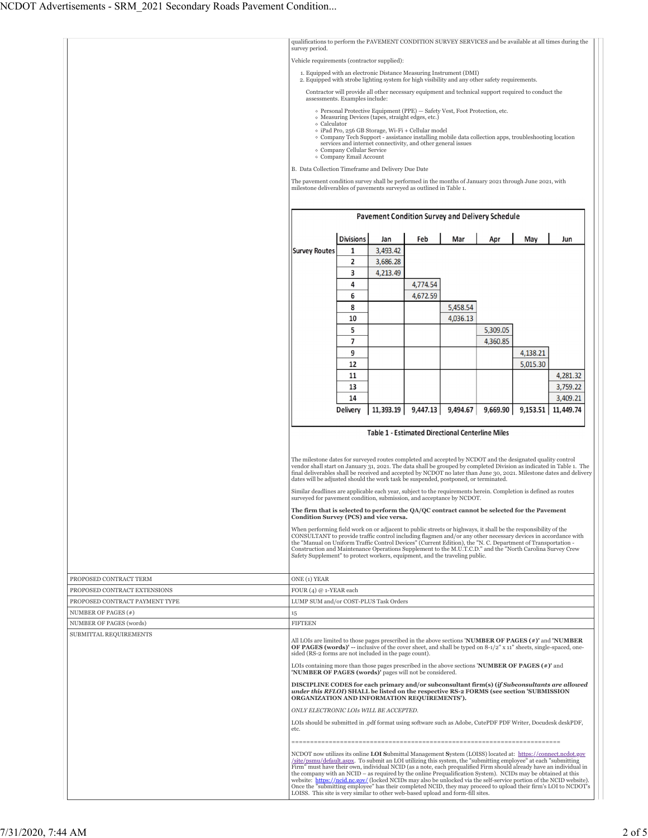|                                | qualifications to perform the PAVEMENT CONDITION SURVEY SERVICES and be available at all times during the<br>survey period.                                                                                                                                                                                                                                                                                                                       |                                                                                                                                                                                |                                                                                                                                                            |          |          |          |                      |                                                                                                                                                                                                                                        |  |  |
|--------------------------------|---------------------------------------------------------------------------------------------------------------------------------------------------------------------------------------------------------------------------------------------------------------------------------------------------------------------------------------------------------------------------------------------------------------------------------------------------|--------------------------------------------------------------------------------------------------------------------------------------------------------------------------------|------------------------------------------------------------------------------------------------------------------------------------------------------------|----------|----------|----------|----------------------|----------------------------------------------------------------------------------------------------------------------------------------------------------------------------------------------------------------------------------------|--|--|
|                                | Vehicle requirements (contractor supplied):                                                                                                                                                                                                                                                                                                                                                                                                       |                                                                                                                                                                                |                                                                                                                                                            |          |          |          |                      |                                                                                                                                                                                                                                        |  |  |
|                                | 1. Equipped with an electronic Distance Measuring Instrument (DMI)                                                                                                                                                                                                                                                                                                                                                                                |                                                                                                                                                                                |                                                                                                                                                            |          |          |          |                      |                                                                                                                                                                                                                                        |  |  |
|                                |                                                                                                                                                                                                                                                                                                                                                                                                                                                   | 2. Equipped with strobe lighting system for high visibility and any other safety requirements.                                                                                 |                                                                                                                                                            |          |          |          |                      |                                                                                                                                                                                                                                        |  |  |
|                                |                                                                                                                                                                                                                                                                                                                                                                                                                                                   | Contractor will provide all other necessary equipment and technical support required to conduct the<br>assessments. Examples include:                                          |                                                                                                                                                            |          |          |          |                      |                                                                                                                                                                                                                                        |  |  |
|                                |                                                                                                                                                                                                                                                                                                                                                                                                                                                   |                                                                                                                                                                                | o Personal Protective Equipment (PPE) - Safety Vest, Foot Protection, etc.                                                                                 |          |          |          |                      |                                                                                                                                                                                                                                        |  |  |
|                                | ○ Calculator                                                                                                                                                                                                                                                                                                                                                                                                                                      |                                                                                                                                                                                | o Measuring Devices (tapes, straight edges, etc.)                                                                                                          |          |          |          |                      |                                                                                                                                                                                                                                        |  |  |
|                                |                                                                                                                                                                                                                                                                                                                                                                                                                                                   |                                                                                                                                                                                | o iPad Pro, 256 GB Storage, Wi-Fi + Cellular model<br>• Company Tech Support - assistance installing mobile data collection apps, troubleshooting location |          |          |          |                      |                                                                                                                                                                                                                                        |  |  |
|                                |                                                                                                                                                                                                                                                                                                                                                                                                                                                   | o Company Cellular Service                                                                                                                                                     | services and internet connectivity, and other general issues                                                                                               |          |          |          |                      |                                                                                                                                                                                                                                        |  |  |
|                                |                                                                                                                                                                                                                                                                                                                                                                                                                                                   | o Company Email Account                                                                                                                                                        |                                                                                                                                                            |          |          |          |                      |                                                                                                                                                                                                                                        |  |  |
|                                | B. Data Collection Timeframe and Delivery Due Date                                                                                                                                                                                                                                                                                                                                                                                                |                                                                                                                                                                                |                                                                                                                                                            |          |          |          |                      |                                                                                                                                                                                                                                        |  |  |
|                                |                                                                                                                                                                                                                                                                                                                                                                                                                                                   | The pavement condition survey shall be performed in the months of January 2021 through June 2021, with<br>milestone deliverables of pavements surveyed as outlined in Table 1. |                                                                                                                                                            |          |          |          |                      |                                                                                                                                                                                                                                        |  |  |
|                                |                                                                                                                                                                                                                                                                                                                                                                                                                                                   |                                                                                                                                                                                |                                                                                                                                                            |          |          |          |                      |                                                                                                                                                                                                                                        |  |  |
|                                |                                                                                                                                                                                                                                                                                                                                                                                                                                                   |                                                                                                                                                                                | Pavement Condition Survey and Delivery Schedule                                                                                                            |          |          |          |                      |                                                                                                                                                                                                                                        |  |  |
|                                |                                                                                                                                                                                                                                                                                                                                                                                                                                                   |                                                                                                                                                                                |                                                                                                                                                            |          |          |          |                      |                                                                                                                                                                                                                                        |  |  |
|                                |                                                                                                                                                                                                                                                                                                                                                                                                                                                   | <b>Divisions</b>                                                                                                                                                               | Jan                                                                                                                                                        | Feb      | Mar      | Apr      | May                  | Jun                                                                                                                                                                                                                                    |  |  |
|                                | <b>Survey Routes</b>                                                                                                                                                                                                                                                                                                                                                                                                                              | 1                                                                                                                                                                              | 3,493.42                                                                                                                                                   |          |          |          |                      |                                                                                                                                                                                                                                        |  |  |
|                                |                                                                                                                                                                                                                                                                                                                                                                                                                                                   | 2                                                                                                                                                                              | 3,686.28                                                                                                                                                   |          |          |          |                      |                                                                                                                                                                                                                                        |  |  |
|                                |                                                                                                                                                                                                                                                                                                                                                                                                                                                   | 3                                                                                                                                                                              | 4,213.49                                                                                                                                                   |          |          |          |                      |                                                                                                                                                                                                                                        |  |  |
|                                |                                                                                                                                                                                                                                                                                                                                                                                                                                                   | 4                                                                                                                                                                              |                                                                                                                                                            | 4,774.54 |          |          |                      |                                                                                                                                                                                                                                        |  |  |
|                                |                                                                                                                                                                                                                                                                                                                                                                                                                                                   | 6                                                                                                                                                                              |                                                                                                                                                            | 4,672.59 |          |          |                      |                                                                                                                                                                                                                                        |  |  |
|                                |                                                                                                                                                                                                                                                                                                                                                                                                                                                   | 8                                                                                                                                                                              |                                                                                                                                                            |          | 5,458.54 |          |                      |                                                                                                                                                                                                                                        |  |  |
|                                |                                                                                                                                                                                                                                                                                                                                                                                                                                                   | 10                                                                                                                                                                             |                                                                                                                                                            |          | 4,036.13 |          |                      |                                                                                                                                                                                                                                        |  |  |
|                                |                                                                                                                                                                                                                                                                                                                                                                                                                                                   | 5                                                                                                                                                                              |                                                                                                                                                            |          |          | 5,309.05 |                      |                                                                                                                                                                                                                                        |  |  |
|                                |                                                                                                                                                                                                                                                                                                                                                                                                                                                   | 7<br>9                                                                                                                                                                         |                                                                                                                                                            |          |          | 4,360.85 |                      |                                                                                                                                                                                                                                        |  |  |
|                                |                                                                                                                                                                                                                                                                                                                                                                                                                                                   | 12                                                                                                                                                                             |                                                                                                                                                            |          |          |          | 4,138.21<br>5,015.30 |                                                                                                                                                                                                                                        |  |  |
|                                |                                                                                                                                                                                                                                                                                                                                                                                                                                                   | 11                                                                                                                                                                             |                                                                                                                                                            |          |          |          |                      | 4,281.32                                                                                                                                                                                                                               |  |  |
|                                |                                                                                                                                                                                                                                                                                                                                                                                                                                                   | 13                                                                                                                                                                             |                                                                                                                                                            |          |          |          |                      | 3,759.22                                                                                                                                                                                                                               |  |  |
|                                |                                                                                                                                                                                                                                                                                                                                                                                                                                                   | 14                                                                                                                                                                             |                                                                                                                                                            |          |          |          |                      | 3,409.21                                                                                                                                                                                                                               |  |  |
|                                |                                                                                                                                                                                                                                                                                                                                                                                                                                                   | <b>Delivery</b>                                                                                                                                                                | 11,393.19                                                                                                                                                  | 9,447.13 | 9,494.67 | 9,669.90 | 9,153.51             | 11,449.74                                                                                                                                                                                                                              |  |  |
|                                |                                                                                                                                                                                                                                                                                                                                                                                                                                                   |                                                                                                                                                                                |                                                                                                                                                            |          |          |          |                      |                                                                                                                                                                                                                                        |  |  |
|                                | <b>Table 1 - Estimated Directional Centerline Miles</b>                                                                                                                                                                                                                                                                                                                                                                                           |                                                                                                                                                                                |                                                                                                                                                            |          |          |          |                      |                                                                                                                                                                                                                                        |  |  |
|                                | The milestone dates for surveyed routes completed and accepted by NCDOT and the designated quality control<br>vendor shall start on January 31, 2021. The data shall be grouped by completed Division as indicated in Table 1. The<br>final deliverables shall be received and accepted by NCDOT no later than June 30, 2021. Milestone dates and delivery<br>dates will be adjusted should the work task be suspended, postponed, or terminated. |                                                                                                                                                                                |                                                                                                                                                            |          |          |          |                      |                                                                                                                                                                                                                                        |  |  |
|                                | Similar deadlines are applicable each year, subject to the requirements herein. Completion is defined as routes<br>surveyed for pavement condition, submission, and acceptance by NCDOT.                                                                                                                                                                                                                                                          |                                                                                                                                                                                |                                                                                                                                                            |          |          |          |                      |                                                                                                                                                                                                                                        |  |  |
|                                | The firm that is selected to perform the QA/QC contract cannot be selected for the Pavement<br>Condition Survey (PCS) and vice versa.                                                                                                                                                                                                                                                                                                             |                                                                                                                                                                                |                                                                                                                                                            |          |          |          |                      |                                                                                                                                                                                                                                        |  |  |
|                                | When performing field work on or adjacent to public streets or highways, it shall be the responsibility of the                                                                                                                                                                                                                                                                                                                                    |                                                                                                                                                                                |                                                                                                                                                            |          |          |          |                      |                                                                                                                                                                                                                                        |  |  |
|                                | CONSULTANT to provide traffic control including flagmen and/or any other necessary devices in accordance with<br>the "Manual on Uniform Traffic Control Devices" (Current Edition), the "N. C. Department of Transportation -                                                                                                                                                                                                                     |                                                                                                                                                                                |                                                                                                                                                            |          |          |          |                      |                                                                                                                                                                                                                                        |  |  |
|                                | Construction and Maintenance Operations Supplement to the M.U.T.C.D." and the "North Carolina Survey Crew<br>Safety Supplement" to protect workers, equipment, and the traveling public.                                                                                                                                                                                                                                                          |                                                                                                                                                                                |                                                                                                                                                            |          |          |          |                      |                                                                                                                                                                                                                                        |  |  |
|                                |                                                                                                                                                                                                                                                                                                                                                                                                                                                   |                                                                                                                                                                                |                                                                                                                                                            |          |          |          |                      |                                                                                                                                                                                                                                        |  |  |
| PROPOSED CONTRACT TERM         | ONE (1) YEAR                                                                                                                                                                                                                                                                                                                                                                                                                                      |                                                                                                                                                                                |                                                                                                                                                            |          |          |          |                      |                                                                                                                                                                                                                                        |  |  |
| PROPOSED CONTRACT EXTENSIONS   | FOUR $(4) @ 1$ -YEAR each                                                                                                                                                                                                                                                                                                                                                                                                                         |                                                                                                                                                                                |                                                                                                                                                            |          |          |          |                      |                                                                                                                                                                                                                                        |  |  |
| PROPOSED CONTRACT PAYMENT TYPE | LUMP SUM and/or COST-PLUS Task Orders                                                                                                                                                                                                                                                                                                                                                                                                             |                                                                                                                                                                                |                                                                                                                                                            |          |          |          |                      |                                                                                                                                                                                                                                        |  |  |
| NUMBER OF PAGES (#)            | 15                                                                                                                                                                                                                                                                                                                                                                                                                                                |                                                                                                                                                                                |                                                                                                                                                            |          |          |          |                      |                                                                                                                                                                                                                                        |  |  |
| NUMBER OF PAGES (words)        | <b>FIFTEEN</b>                                                                                                                                                                                                                                                                                                                                                                                                                                    |                                                                                                                                                                                |                                                                                                                                                            |          |          |          |                      |                                                                                                                                                                                                                                        |  |  |
| SUBMITTAL REQUIREMENTS         | All LOIs are limited to those pages prescribed in the above sections 'NUMBER OF PAGES (#)' and 'NUMBER<br><b>OF PAGES (words)'</b> -- inclusive of the cover sheet, and shall be typed on $8-1/2$ " x 11" sheets, single-spaced, one-                                                                                                                                                                                                             |                                                                                                                                                                                |                                                                                                                                                            |          |          |          |                      |                                                                                                                                                                                                                                        |  |  |
|                                | sided (RS-2 forms are not included in the page count).<br>LOIs containing more than those pages prescribed in the above sections 'NUMBER OF PAGES $(*)$ ' and<br>'NUMBER OF PAGES (words)' pages will not be considered.                                                                                                                                                                                                                          |                                                                                                                                                                                |                                                                                                                                                            |          |          |          |                      |                                                                                                                                                                                                                                        |  |  |
|                                | DISCIPLINE CODES for each primary and/or subconsultant firm(s) (if Subconsultants are allowed<br>under this RFLOI) SHALL be listed on the respective RS-2 FORMS (see section 'SUBMISSION<br>ORGANIZATION AND INFORMATION REQUIREMENTS').                                                                                                                                                                                                          |                                                                                                                                                                                |                                                                                                                                                            |          |          |          |                      |                                                                                                                                                                                                                                        |  |  |
|                                | ONLY ELECTRONIC LOIS WILL BE ACCEPTED.                                                                                                                                                                                                                                                                                                                                                                                                            |                                                                                                                                                                                |                                                                                                                                                            |          |          |          |                      |                                                                                                                                                                                                                                        |  |  |
|                                | LOIs should be submitted in .pdf format using software such as Adobe, CutePDF PDF Writer, Docudesk deskPDF,<br>etc.                                                                                                                                                                                                                                                                                                                               |                                                                                                                                                                                |                                                                                                                                                            |          |          |          |                      |                                                                                                                                                                                                                                        |  |  |
|                                |                                                                                                                                                                                                                                                                                                                                                                                                                                                   |                                                                                                                                                                                |                                                                                                                                                            |          |          |          |                      |                                                                                                                                                                                                                                        |  |  |
|                                | NCDOT now utilizes its online <b>LOI Submittal Management System</b> (LOISS) located at: https://connect.ncdot.gov<br>/site/psmu/default.aspx. To submit an LOI utilizing this system, the "submitting employee" at each "submitting<br>Firm" must have their own, individual NCID (as a note, each prequalified Firm should already have an individual in                                                                                        |                                                                                                                                                                                |                                                                                                                                                            |          |          |          |                      |                                                                                                                                                                                                                                        |  |  |
|                                | the company with an NCID – as required by the online Prequalification System). NCIDs may be obtained at this                                                                                                                                                                                                                                                                                                                                      |                                                                                                                                                                                |                                                                                                                                                            |          |          |          |                      |                                                                                                                                                                                                                                        |  |  |
|                                | LOISS. This site is very similar to other web-based upload and form-fill sites.                                                                                                                                                                                                                                                                                                                                                                   |                                                                                                                                                                                |                                                                                                                                                            |          |          |          |                      | website: https://ncid.nc.gov/ (locked NCIDs may also be unlocked via the self-service portion of the NCID website).<br>Once the "submitting employee" has their completed NCID, they may proceed to upload their firm's LOI to NCDOT's |  |  |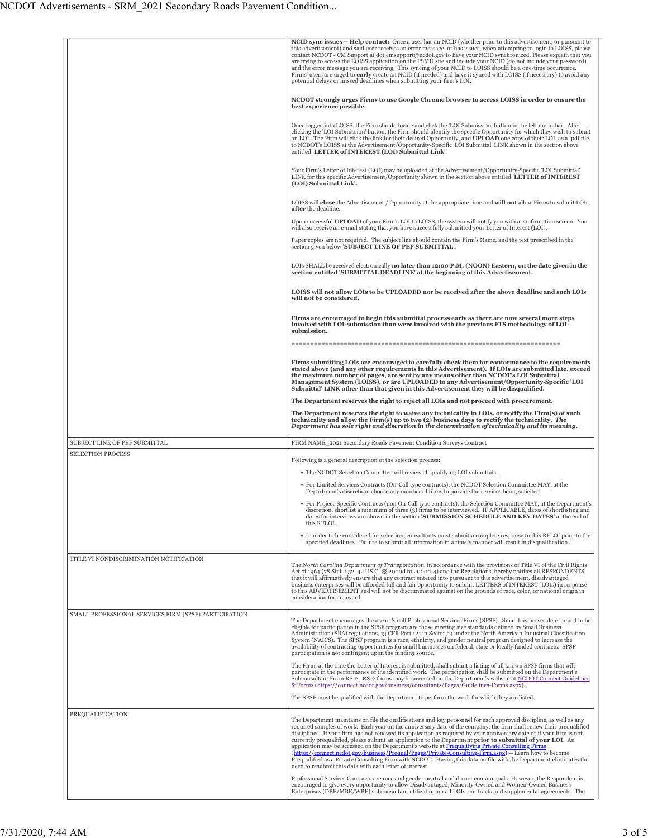|                                                       | NCID sync issues - Help contact: Once a user has an NCID (whether prior to this advertisement, or pursuant to<br>this advertisement) and said user receives an error message, or has issues, when attempting to login to LOISS, please<br>contact NCDOT - CM Support at dot.cmsupport@ncdot.gov to have your NCID synchronized. Please explain that you<br>are trying to access the LOISS application on the PSMU site and include your NCID (do not include your password)<br>and the error message you are receiving. This syncing of your NCID to LOISS should be a one-time occurrence.<br>Firms' users are urged to early create an NCID (if needed) and have it synced with LOISS (if necessary) to avoid any<br>potential delays or missed deadlines when submitting your firm's LOI.                                                                                    |
|-------------------------------------------------------|---------------------------------------------------------------------------------------------------------------------------------------------------------------------------------------------------------------------------------------------------------------------------------------------------------------------------------------------------------------------------------------------------------------------------------------------------------------------------------------------------------------------------------------------------------------------------------------------------------------------------------------------------------------------------------------------------------------------------------------------------------------------------------------------------------------------------------------------------------------------------------|
|                                                       | NCDOT strongly urges Firms to use Google Chrome browser to access LOISS in order to ensure the<br>best experience possible.                                                                                                                                                                                                                                                                                                                                                                                                                                                                                                                                                                                                                                                                                                                                                     |
|                                                       | Once logged into LOISS, the Firm should locate and click the 'LOI Submission' button in the left menu bar. After<br>clicking the 'LOI Submission' button, the Firm should identify the specific Opportunity for which they wish to submit<br>an LOI. The Firm will click the link for their desired Opportunity, and UPLOAD one copy of their LOI, as a .pdf file,<br>to NCDOT's LOISS at the Advertisement/Opportunity-Specific 'LOI Submittal' LINK shown in the section above<br>entitled 'LETTER of INTEREST (LOI) Submittal Link.                                                                                                                                                                                                                                                                                                                                          |
|                                                       | Your Firm's Letter of Interest (LOI) may be uploaded at the Advertisement/Opportunity-Specific 'LOI Submittal'<br>LINK for this specific Advertisement/Opportunity shown in the section above entitled 'LETTER of INTEREST<br>(LOI) Submittal Link'.                                                                                                                                                                                                                                                                                                                                                                                                                                                                                                                                                                                                                            |
|                                                       | LOISS will <b>close</b> the Advertisement / Opportunity at the appropriate time and <b>will not</b> allow Firms to submit LOIs<br>after the deadline.                                                                                                                                                                                                                                                                                                                                                                                                                                                                                                                                                                                                                                                                                                                           |
|                                                       | Upon successful UPLOAD of your Firm's LOI to LOISS, the system will notify you with a confirmation screen. You<br>will also receive an e-mail stating that you have successfully submitted your Letter of Interest (LOI).                                                                                                                                                                                                                                                                                                                                                                                                                                                                                                                                                                                                                                                       |
|                                                       | Paper copies are not required. The subject line should contain the Firm's Name, and the text prescribed in the<br>section given below 'SUBJECT LINE OF PEF SUBMITTAL'.                                                                                                                                                                                                                                                                                                                                                                                                                                                                                                                                                                                                                                                                                                          |
|                                                       | LOIs SHALL be received electronically no later than 12:00 P.M. (NOON) Eastern, on the date given in the<br>section entitled 'SUBMITTAL DEADLINE' at the beginning of this Advertisement.                                                                                                                                                                                                                                                                                                                                                                                                                                                                                                                                                                                                                                                                                        |
|                                                       | LOISS will not allow LOIs to be UPLOADED nor be received after the above deadline and such LOIs<br>will not be considered.                                                                                                                                                                                                                                                                                                                                                                                                                                                                                                                                                                                                                                                                                                                                                      |
|                                                       | Firms are encouraged to begin this submittal process early as there are now several more steps<br>involved with LOI-submission than were involved with the previous FTS methodology of LOI-<br>submission.                                                                                                                                                                                                                                                                                                                                                                                                                                                                                                                                                                                                                                                                      |
|                                                       | Firms submitting LOIs are encouraged to carefully check them for conformance to the requirements<br>stated above (and any other requirements in this Advertisement). If LOIs are submitted late, exceed<br>the maximum number of pages, are sent by any means other than NCDOT's LOI Submittal<br>Management System (LOISS), or are UPLOADED to any Advertisement/Opportunity-Specific 'LOI<br>Submittal' LINK other than that given in this Advertisement they will be disqualified.                                                                                                                                                                                                                                                                                                                                                                                           |
|                                                       | The Department reserves the right to reject all LOIs and not proceed with procurement.                                                                                                                                                                                                                                                                                                                                                                                                                                                                                                                                                                                                                                                                                                                                                                                          |
|                                                       | The Department reserves the right to waive any technicality in LOIs, or notify the Firm(s) of such<br>technicality and allow the Firm(s) up to two (2) business days to rectify the technicality. The<br>Department has sole right and discretion in the determination of technicality and its meaning.                                                                                                                                                                                                                                                                                                                                                                                                                                                                                                                                                                         |
| SUBJECT LINE OF PEF SUBMITTAL                         |                                                                                                                                                                                                                                                                                                                                                                                                                                                                                                                                                                                                                                                                                                                                                                                                                                                                                 |
|                                                       | FIRM NAME 2021 Secondary Roads Pavement Condition Surveys Contract                                                                                                                                                                                                                                                                                                                                                                                                                                                                                                                                                                                                                                                                                                                                                                                                              |
| <b>SELECTION PROCESS</b>                              | Following is a general description of the selection process:                                                                                                                                                                                                                                                                                                                                                                                                                                                                                                                                                                                                                                                                                                                                                                                                                    |
|                                                       | • The NCDOT Selection Committee will review all qualifying LOI submittals.                                                                                                                                                                                                                                                                                                                                                                                                                                                                                                                                                                                                                                                                                                                                                                                                      |
|                                                       | • For Limited Services Contracts (On-Call type contracts), the NCDOT Selection Committee MAY, at the<br>Department's discretion, choose any number of firms to provide the services being solicited.                                                                                                                                                                                                                                                                                                                                                                                                                                                                                                                                                                                                                                                                            |
|                                                       | • For Project-Specific Contracts (non On-Call type contracts), the Selection Committee MAY, at the Department's<br>discretion, shortlist a minimum of three (3) firms to be interviewed. IF APPLICABLE, dates of shortlisting and<br>dates for interviews are shown in the section <b>SUBMISSION SCHEDULE AND KEY DATES</b> at the end of<br>this RFLOI.                                                                                                                                                                                                                                                                                                                                                                                                                                                                                                                        |
|                                                       | • In order to be considered for selection, consultants must submit a complete response to this RFLOI prior to the<br>specified deadlines. Failure to submit all information in a timely manner will result in disqualification.                                                                                                                                                                                                                                                                                                                                                                                                                                                                                                                                                                                                                                                 |
| TITLE VI NONDISCRIMINATION NOTIFICATION               | The North Carolina Department of Transportation, in accordance with the provisions of Title VI of the Civil Rights<br>Act of 1964 (78 Stat. 252, 42 US.C. §§ 2000d to 2000d-4) and the Regulations, hereby notifies all RESPONDENTS<br>that it will affirmatively ensure that any contract entered into pursuant to this advertisement, disadvantaged<br>business enterprises will be afforded full and fair opportunity to submit LETTERS of INTEREST (LOIs) in response<br>to this ADVERTISEMENT and will not be discriminated against on the grounds of race, color, or national origin in<br>consideration for an award.                                                                                                                                                                                                                                                    |
| SMALL PROFESSIONAL SERVICES FIRM (SPSF) PARTICIPATION | The Department encourages the use of Small Professional Services Firms (SPSF). Small businesses determined to be<br>eligible for participation in the SPSF program are those meeting size standards defined by Small Business<br>Administration (SBA) regulations, 13 CFR Part 121 in Sector 54 under the North American Industrial Classification<br>System (NAICS). The SPSF program is a race, ethnicity, and gender neutral program designed to increase the<br>availability of contracting opportunities for small businesses on federal, state or locally funded contracts. SPSF                                                                                                                                                                                                                                                                                          |
|                                                       | participation is not contingent upon the funding source.<br>The Firm, at the time the Letter of Interest is submitted, shall submit a listing of all known SPSF firms that will<br>participate in the performance of the identified work. The participation shall be submitted on the Department's                                                                                                                                                                                                                                                                                                                                                                                                                                                                                                                                                                              |
|                                                       | Subconsultant Form RS-2. RS-2 forms may be accessed on the Department's website at NCDOT Connect Guidelines<br>& Forms (https://connect.ncdot.gov/business/consultants/Pages/Guidelines-Forms.aspx).<br>The SPSF must be qualified with the Department to perform the work for which they are listed.                                                                                                                                                                                                                                                                                                                                                                                                                                                                                                                                                                           |
|                                                       |                                                                                                                                                                                                                                                                                                                                                                                                                                                                                                                                                                                                                                                                                                                                                                                                                                                                                 |
| PREQUALIFICATION                                      | The Department maintains on file the qualifications and key personnel for each approved discipline, as well as any<br>required samples of work. Each year on the anniversary date of the company, the firm shall renew their prequalified<br>disciplines. If your firm has not renewed its application as required by your anniversary date or if your firm is not<br>currently prequalified, please submit an application to the Department prior to submittal of your LOI. An<br>application may be accessed on the Department's website at Prequalifying Private Consulting Firms<br>(https://connect.ncdot.gov/business/Prequal/Pages/Private-Consulting-Firm.aspx) -- Learn how to become<br>Prequalified as a Private Consulting Firm with NCDOT. Having this data on file with the Department eliminates the<br>need to resubmit this data with each letter of interest. |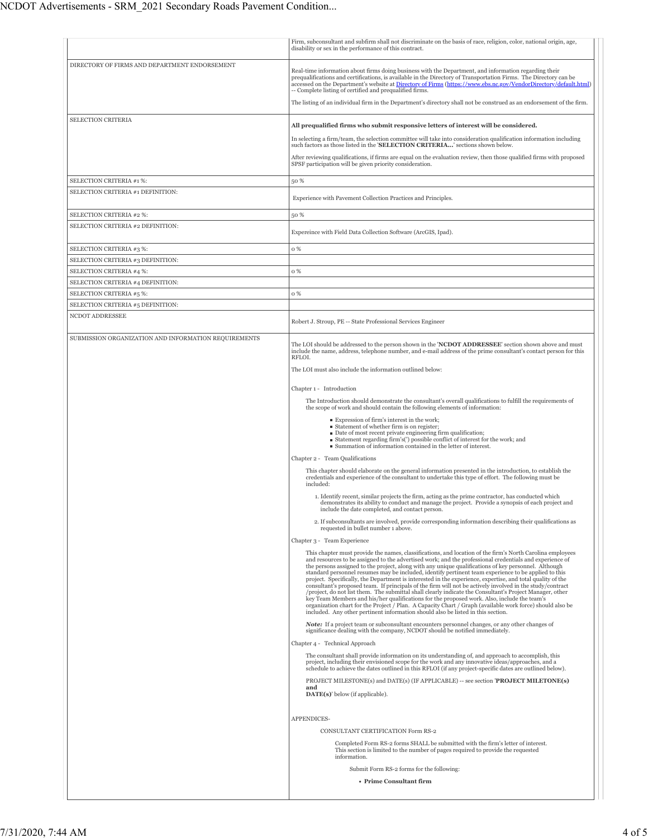|                                                               | Firm, subconsultant and subfirm shall not discriminate on the basis of race, religion, color, national origin, age,                                                                                                                                                                                                                                                                                                                                                                                                                                                                                                                                                                                                                                                                                                                                                                                                                                                                                                                                                         |
|---------------------------------------------------------------|-----------------------------------------------------------------------------------------------------------------------------------------------------------------------------------------------------------------------------------------------------------------------------------------------------------------------------------------------------------------------------------------------------------------------------------------------------------------------------------------------------------------------------------------------------------------------------------------------------------------------------------------------------------------------------------------------------------------------------------------------------------------------------------------------------------------------------------------------------------------------------------------------------------------------------------------------------------------------------------------------------------------------------------------------------------------------------|
|                                                               | disability or sex in the performance of this contract.                                                                                                                                                                                                                                                                                                                                                                                                                                                                                                                                                                                                                                                                                                                                                                                                                                                                                                                                                                                                                      |
| DIRECTORY OF FIRMS AND DEPARTMENT ENDORSEMENT                 | Real-time information about firms doing business with the Department, and information regarding their<br>prequalifications and certifications, is available in the Directory of Transportation Firms. The Directory can be<br>accessed on the Department's website at Directory of Firms (https://www.ebs.nc.gov/VendorDirectory/default.html)<br>-- Complete listing of certified and prequalified firms.<br>The listing of an individual firm in the Department's directory shall not be construed as an endorsement of the firm.                                                                                                                                                                                                                                                                                                                                                                                                                                                                                                                                         |
| <b>SELECTION CRITERIA</b>                                     |                                                                                                                                                                                                                                                                                                                                                                                                                                                                                                                                                                                                                                                                                                                                                                                                                                                                                                                                                                                                                                                                             |
|                                                               | All prequalified firms who submit responsive letters of interest will be considered.<br>In selecting a firm/team, the selection committee will take into consideration qualification information including                                                                                                                                                                                                                                                                                                                                                                                                                                                                                                                                                                                                                                                                                                                                                                                                                                                                  |
|                                                               | such factors as those listed in the 'SELECTION CRITERIA' sections shown below.                                                                                                                                                                                                                                                                                                                                                                                                                                                                                                                                                                                                                                                                                                                                                                                                                                                                                                                                                                                              |
|                                                               | After reviewing qualifications, if firms are equal on the evaluation review, then those qualified firms with proposed<br>SPSF participation will be given priority consideration.                                                                                                                                                                                                                                                                                                                                                                                                                                                                                                                                                                                                                                                                                                                                                                                                                                                                                           |
| SELECTION CRITERIA #1 %:                                      | 50 %                                                                                                                                                                                                                                                                                                                                                                                                                                                                                                                                                                                                                                                                                                                                                                                                                                                                                                                                                                                                                                                                        |
| SELECTION CRITERIA #1 DEFINITION:                             | Experience with Pavement Collection Practices and Principles.                                                                                                                                                                                                                                                                                                                                                                                                                                                                                                                                                                                                                                                                                                                                                                                                                                                                                                                                                                                                               |
| SELECTION CRITERIA #2 %:                                      | 50 %                                                                                                                                                                                                                                                                                                                                                                                                                                                                                                                                                                                                                                                                                                                                                                                                                                                                                                                                                                                                                                                                        |
| SELECTION CRITERIA #2 DEFINITION:                             | Expereince with Field Data Collection Software (ArcGIS, Ipad).                                                                                                                                                                                                                                                                                                                                                                                                                                                                                                                                                                                                                                                                                                                                                                                                                                                                                                                                                                                                              |
| SELECTION CRITERIA #3 %:                                      | 0 %                                                                                                                                                                                                                                                                                                                                                                                                                                                                                                                                                                                                                                                                                                                                                                                                                                                                                                                                                                                                                                                                         |
| SELECTION CRITERIA #3 DEFINITION:                             |                                                                                                                                                                                                                                                                                                                                                                                                                                                                                                                                                                                                                                                                                                                                                                                                                                                                                                                                                                                                                                                                             |
| SELECTION CRITERIA #4 %:                                      | 0 %                                                                                                                                                                                                                                                                                                                                                                                                                                                                                                                                                                                                                                                                                                                                                                                                                                                                                                                                                                                                                                                                         |
| SELECTION CRITERIA #4 DEFINITION:<br>SELECTION CRITERIA #5 %: | 0 %                                                                                                                                                                                                                                                                                                                                                                                                                                                                                                                                                                                                                                                                                                                                                                                                                                                                                                                                                                                                                                                                         |
| SELECTION CRITERIA #5 DEFINITION:                             |                                                                                                                                                                                                                                                                                                                                                                                                                                                                                                                                                                                                                                                                                                                                                                                                                                                                                                                                                                                                                                                                             |
| NCDOT ADDRESSEE                                               | Robert J. Stroup, PE -- State Professional Services Engineer                                                                                                                                                                                                                                                                                                                                                                                                                                                                                                                                                                                                                                                                                                                                                                                                                                                                                                                                                                                                                |
|                                                               |                                                                                                                                                                                                                                                                                                                                                                                                                                                                                                                                                                                                                                                                                                                                                                                                                                                                                                                                                                                                                                                                             |
| SUBMISSION ORGANIZATION AND INFORMATION REQUIREMENTS          | The LOI should be addressed to the person shown in the 'NCDOT ADDRESSEE' section shown above and must<br>include the name, address, telephone number, and e-mail address of the prime consultant's contact person for this<br>RFLOI.                                                                                                                                                                                                                                                                                                                                                                                                                                                                                                                                                                                                                                                                                                                                                                                                                                        |
|                                                               | The LOI must also include the information outlined below:                                                                                                                                                                                                                                                                                                                                                                                                                                                                                                                                                                                                                                                                                                                                                                                                                                                                                                                                                                                                                   |
|                                                               | Chapter 1 - Introduction                                                                                                                                                                                                                                                                                                                                                                                                                                                                                                                                                                                                                                                                                                                                                                                                                                                                                                                                                                                                                                                    |
|                                                               | The Introduction should demonstrate the consultant's overall qualifications to fulfill the requirements of                                                                                                                                                                                                                                                                                                                                                                                                                                                                                                                                                                                                                                                                                                                                                                                                                                                                                                                                                                  |
|                                                               | the scope of work and should contain the following elements of information:<br>Expression of firm's interest in the work;                                                                                                                                                                                                                                                                                                                                                                                                                                                                                                                                                                                                                                                                                                                                                                                                                                                                                                                                                   |
|                                                               | Statement of whether firm is on register;<br>Date of most recent private engineering firm qualification;<br>■ Statement regarding firm's(') possible conflict of interest for the work; and<br>■ Summation of information contained in the letter of interest.                                                                                                                                                                                                                                                                                                                                                                                                                                                                                                                                                                                                                                                                                                                                                                                                              |
|                                                               | Chapter 2 - Team Qualifications                                                                                                                                                                                                                                                                                                                                                                                                                                                                                                                                                                                                                                                                                                                                                                                                                                                                                                                                                                                                                                             |
|                                                               | This chapter should elaborate on the general information presented in the introduction, to establish the<br>credentials and experience of the consultant to undertake this type of effort. The following must be<br>included:                                                                                                                                                                                                                                                                                                                                                                                                                                                                                                                                                                                                                                                                                                                                                                                                                                               |
|                                                               | 1. Identify recent, similar projects the firm, acting as the prime contractor, has conducted which<br>demonstrates its ability to conduct and manage the project. Provide a synopsis of each project and<br>include the date completed, and contact person.                                                                                                                                                                                                                                                                                                                                                                                                                                                                                                                                                                                                                                                                                                                                                                                                                 |
|                                                               | 2. If subconsultants are involved, provide corresponding information describing their qualifications as<br>requested in bullet number 1 above.                                                                                                                                                                                                                                                                                                                                                                                                                                                                                                                                                                                                                                                                                                                                                                                                                                                                                                                              |
|                                                               | Chapter 3 - Team Experience                                                                                                                                                                                                                                                                                                                                                                                                                                                                                                                                                                                                                                                                                                                                                                                                                                                                                                                                                                                                                                                 |
|                                                               | This chapter must provide the names, classifications, and location of the firm's North Carolina employees<br>and resources to be assigned to the advertised work; and the professional credentials and experience of<br>the persons assigned to the project, along with any unique qualifications of key personnel. Although<br>standard personnel resumes may be included, identify pertinent team experience to be applied to this<br>project. Specifically, the Department is interested in the experience, expertise, and total quality of the<br>consultant's proposed team. If principals of the firm will not be actively involved in the study/contract<br>/project, do not list them. The submittal shall clearly indicate the Consultant's Project Manager, other<br>key Team Members and his/her qualifications for the proposed work. Also, include the team's<br>organization chart for the Project / Plan. A Capacity Chart / Graph (available work force) should also be<br>included. Any other pertinent information should also be listed in this section. |
|                                                               | Note: If a project team or subconsultant encounters personnel changes, or any other changes of<br>significance dealing with the company, NCDOT should be notified immediately.                                                                                                                                                                                                                                                                                                                                                                                                                                                                                                                                                                                                                                                                                                                                                                                                                                                                                              |
|                                                               | Chapter 4 - Technical Approach                                                                                                                                                                                                                                                                                                                                                                                                                                                                                                                                                                                                                                                                                                                                                                                                                                                                                                                                                                                                                                              |
|                                                               | The consultant shall provide information on its understanding of, and approach to accomplish, this<br>project, including their envisioned scope for the work and any innovative ideas/approaches, and a<br>schedule to achieve the dates outlined in this RFLOI (if any project-specific dates are outlined below).                                                                                                                                                                                                                                                                                                                                                                                                                                                                                                                                                                                                                                                                                                                                                         |
|                                                               | PROJECT MILESTONE(s) and DATE(s) (IF APPLICABLE) -- see section 'PROJECT MILETONE(s)<br>and<br>$\textbf{DATE}(s)$ ' below (if applicable).                                                                                                                                                                                                                                                                                                                                                                                                                                                                                                                                                                                                                                                                                                                                                                                                                                                                                                                                  |
|                                                               | APPENDICES-                                                                                                                                                                                                                                                                                                                                                                                                                                                                                                                                                                                                                                                                                                                                                                                                                                                                                                                                                                                                                                                                 |
|                                                               | CONSULTANT CERTIFICATION Form RS-2                                                                                                                                                                                                                                                                                                                                                                                                                                                                                                                                                                                                                                                                                                                                                                                                                                                                                                                                                                                                                                          |
|                                                               | Completed Form RS-2 forms SHALL be submitted with the firm's letter of interest.<br>This section is limited to the number of pages required to provide the requested<br>information.                                                                                                                                                                                                                                                                                                                                                                                                                                                                                                                                                                                                                                                                                                                                                                                                                                                                                        |
|                                                               | Submit Form RS-2 forms for the following:                                                                                                                                                                                                                                                                                                                                                                                                                                                                                                                                                                                                                                                                                                                                                                                                                                                                                                                                                                                                                                   |
|                                                               | • Prime Consultant firm                                                                                                                                                                                                                                                                                                                                                                                                                                                                                                                                                                                                                                                                                                                                                                                                                                                                                                                                                                                                                                                     |
|                                                               |                                                                                                                                                                                                                                                                                                                                                                                                                                                                                                                                                                                                                                                                                                                                                                                                                                                                                                                                                                                                                                                                             |